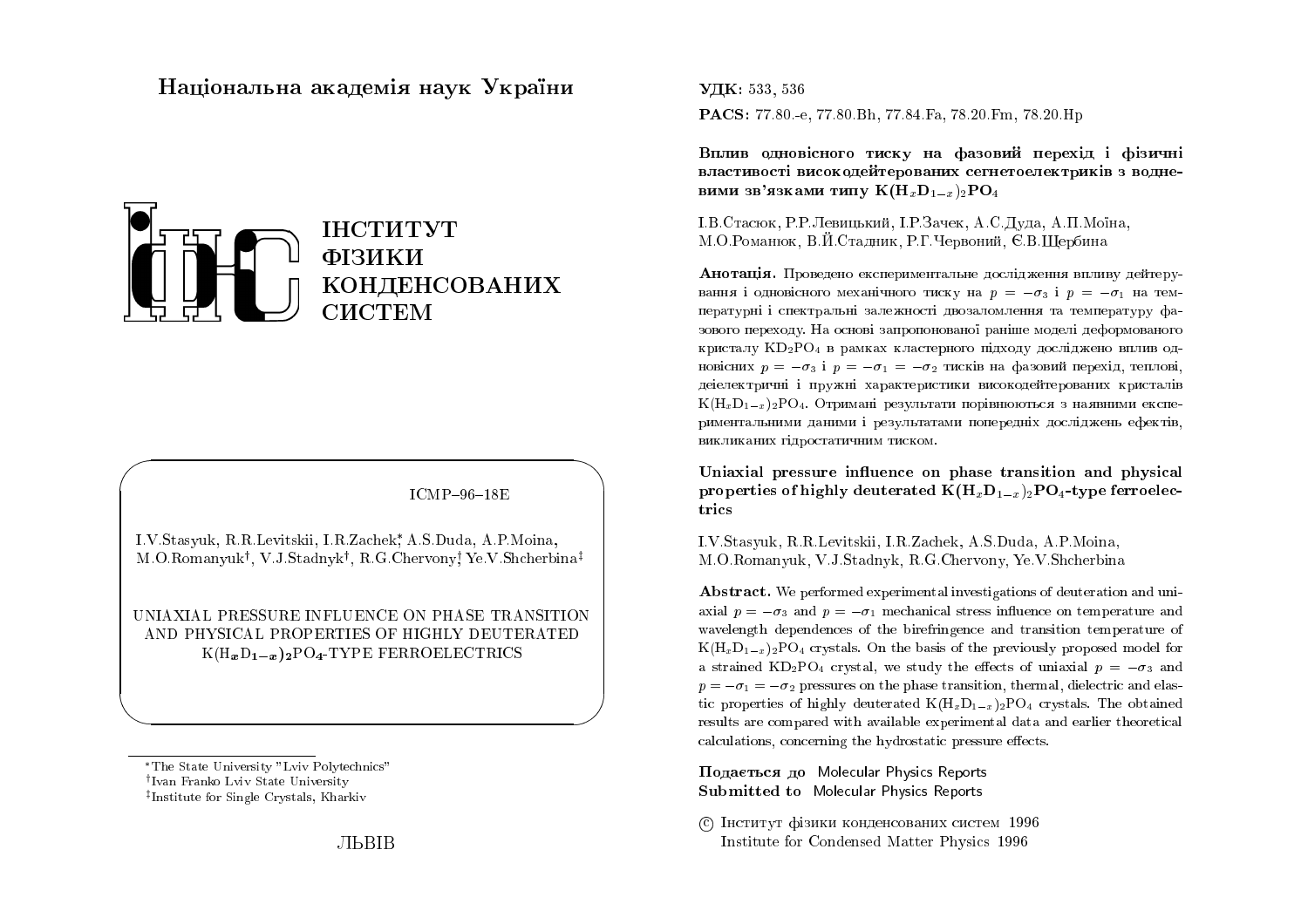# Національна академія наук  $\mathbf{{V}}$ країни



 $ICMP-96-18E$ 

 $\bigwedge$ 

 $\bigcup$ 

I.V.Stasyuk, R.R.Levitskii, I.R.Zachek, A.S.Duda, A.P.Moina,  $\rm M. O. Romanyuk^{\dagger},~V.J. Stadnyk^{\dagger},~R.G. Chervony^{\dagger}_{\rm}~Ye. V. Shcherbina^{\ddagger}$ 

UNIAXIAL PRESSURE INFLUENCE ON PHASE TRANSITION AND PHYSICAL PROPERTIES OF HIGHLY DEUTERATED<br>LIGHT DAN DO TYPE EEDDOFLEGENGS  $K(\mathrm{H}_{\bm{x}}\mathrm{D}_{\bm{1}-\bm{x}})_{\bm{2}}\mathrm{PO}_{\bm{4}}\text{-}\mathrm{TYPE}$  FERROELECTRICS

 $\bigg($ 

 $\setminus$ 

 $\rm{V\!I\!K:}$  533, 536 PACS: 77.80.-e, 77.80.Bh, 77.84.Fa, 78.20.Fm, 78.20.Hp

Вплив одновісного тиску на фазовий перехід і фізичні<br>. властивості високодейтерованих сегнетоелектриків з водне-<br>——————————————————— вими зв'язками типу  ${\bf K}({\bf H}_x{\bf D}_{1-x})_2{\bf P}{\bf O}_4$ 

I.B.Стасюк, Р.Р.Левицький, I.Р.Зачек, А.С.Дуда, А.П.Моїна, M.O.Романюк, В.Й.Стадник, Р.Г.Червоний, Є.В.Щербина

 ${\bf A}$ нотація. Проведено експериментальне дослідження впливу дейтерування і одновісного механічного тиску на  $p = -\sigma_3$  і  $p = -\sigma_1$  на температурні і спектральні залежності двозаломлення та температуру фазового переходу. На основі запропонованої раніше моделі деформованого кристалу  $\mathrm{KD_2PO_4}$  в рамках кластерного підходу досліджено вплив одновісних  $p = -\sigma_3$  і  $p = -\sigma_1 = -\sigma_2$  тисків на фазовий перехід, теплові, деіелектричні і пружні характеристики високодейтерованих кристалів  ${\rm K}({\rm H}_{x}{\rm D}_{1-x})_{2}{\rm PO}_{4}$ . Отримані результати порівнюються з наявними експериментальними даними і результатами попередніх досліджень ефектів,<br>. викликаних гідростатичним тиском.<br>.

Uniaxial pressure influence on phase transition and physical properties of highly deuterated  ${\bf K}({\bf H}_x{\bf D}_{1-x})_2{\bf P}{\bf O}_4$ -type ferroelectrics

I.V.Stasyuk, R.R.Levitskii, I.R.Zachek, A.S.Duda, A.P.Moina, M.O.Romanyuk, V.J.Stadnyk, R.G.Chervony, Ye.V.Shcherbina

 ${\bf Abstract.}$  We performed experimental investigations of deuteration and uniaxial  $p = -\sigma_3$  and  $p = -\sigma_1$  mechanical stress influence on temperature and wavelength dependences of the birefringence and transition temperature of  $K(H_xD_{1-x})_2PO_4$  crystals. On the basis of the previously proposed model for a strained KD<sub>2</sub>PO<sub>4</sub> crystal, we study the effects of uniaxial  $p = -\sigma_3$  and  $p = -\sigma_1 = -\sigma_2$  pressures on the phase transition, thermal, dielectric and elastic properties of highly deuterated  $K(H_xD_{1-x})_2PO_4$  crystals. The obtained results are compared with available experimental data and earlier theoretical  ${\rm calculations,\; concerning\; the\; hydrostatic\; pressure\; effects.}$ 

 $\bm{\Pi}$ одається до Molecular Physics Reports Submitted to Molecular Physics Reports

© Інститут фізики конденсованих систем 1996 Institute for Condensed Matter Physics <sup>1996</sup>

The State University "Lviv Polytechnics" <sup>†</sup>Ivan Franko Lviv State University  $^{\ddagger}$ Institute for Single Crystals, Kharkiv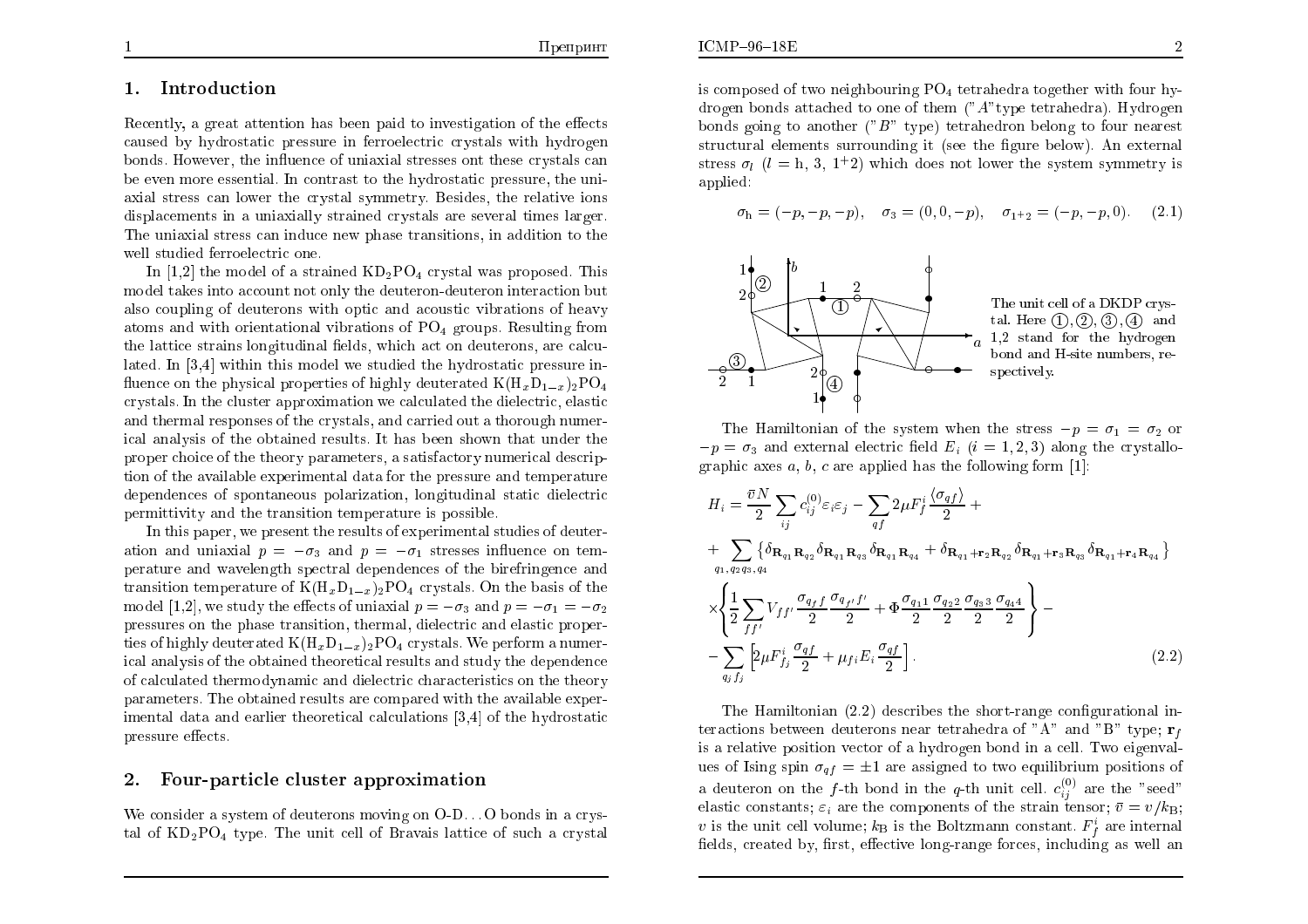#### 1.Introduction

Recently, a great attention has been paid to investigation of the effects caused by hydrostatic pressure in ferroelectric crystals with hydrogen  $b$ onds. However, the influence of uniaxial stresses ont these crystals  ${\rm can}$  be even more essential. In contrast to the hydrostatic pressure, the uniaxial stress can lo wer the crystal symmetry. Besides, the relative ions displacements in a uniaxially strained crystals are several times larger. The uniaxial stress can induce new <sup>p</sup>hase transitions, in addition to the well studied ferroelectric one.

In [1,2] the model of a strained  $KD_2PO_4$  crystal was proposed. This model takes into account not only the deuteron-deuteron interaction but also coupling of deuterons with optic and acoustic vibrations of heavy atoms and with orientational vibrations of PO4 groups. Resulting fromthe lattice strains longitudinal fields, which act on deuterons, are calculated. In [3,4] within this model we studied the hydrostatic pressure in fluence on the physical properties of highly deuterated  $K(\mathrm{H}_x\mathrm{D}_{1-x})_2\mathrm{PO}_4$ crystals. In the cluster approximation we calculated the dielectric, elastic and thermal responses of the crystals, and carried out a thoroughnumer ical analysis of the obtained results. It has been shown that under the proper choice of the theory parameters, a satisfactorynumerical descrip tion of the available experimental data for the pressure and temperature dependences of spontaneous polarization, longitudinal static dielectric permittivity and the transition temperature is possible.

 In this paper, we present the results of experimental studies of deuteration and uniaxial  $p=-\sigma_3$  and  $p=-\sigma_1$  stresses influence on tem- perature andwavelength spectral dependences of the birefringence and transition temperature of  $K(H_xD_{1-x})_2PO_4$  crystals. On the basis of the model [1,2], we study the effects of uniaxial  $p=-\sigma_3$  and  $p=-\sigma_1=-\sigma_2$  pressures on the <sup>p</sup>hase transition, thermal, dielectric and elastic properties of highly deuterated  $K(H_xD_{1-x})_2PO_4$  crystals. We perform a numer- ical analysis of the obtained theoretical results and study the dependence of calculated thermodynamic and dielectric characteristics on the theory parameters. The obtained results are compared with the available exper imental data and earlier theoretical calculations [3,4] of the hydrostatic $p$ ressure effects.

## 2.Four-particle cluster approximation

We consider a system of deuterons moving on O-D...O bonds in a crys-<br>tel. of KD DO, type. The unit cell of Preveis lettice of such a exystal tal of  $KD_2PO_4$  type. The unit cell of Bravais lattice of such a crystal is composed of two neighbouring  $PO_4$  tetrahedra together with four hydrogen bonds attached to one of them ("A"type tetrahedra). Hydrogen<br>hands mins to another ("B" tune) tetrahedran helens to four necessary bonds going to another (" B" type) tetrahedron belong to four nearest structural elements surrounding it (see the figure below). An external stress  $\sigma_l$  ( $l = h, 3, 1^{\pm}2$ ) which does not lower the system symmetry is applied:

$$
\sigma_{h} = (-p, -p, -p), \quad \sigma_{3} = (0, 0, -p), \quad \sigma_{1+2} = (-p, -p, 0). \quad (2.1)
$$



The unit cell of a DKDP crystal. Here  $(1), (2), (3), (4)$  and 1,2 stand for the hydrogenbond and H-site numbers, re-

The Hamiltonian of the system when the stress  $-p = \sigma_1 = \sigma_2$  or  $-p = \sigma_3$  and external electric field  $E_i$   $(i = 1, 2, 3)$  along the crystallographic axes  $a, b, c$  are applied has the following form [1]:

$$
H_{i} = \frac{\bar{v}N}{2} \sum_{ij} c_{ij}^{(0)} \varepsilon_{i} \varepsilon_{j} - \sum_{qf} 2\mu F_{f}^{i} \frac{\langle \sigma_{qf} \rangle}{2} +
$$
  
+ 
$$
\sum_{q_{1},q_{2}q_{3},q_{4}} \{ \delta_{\mathbf{R}_{q_{1}}\mathbf{R}_{q_{2}}} \delta_{\mathbf{R}_{q_{1}}\mathbf{R}_{q_{3}}} \delta_{\mathbf{R}_{q_{1}}\mathbf{R}_{q_{4}}} + \delta_{\mathbf{R}_{q_{1}}+\mathbf{r}_{2}\mathbf{R}_{q_{2}}} \delta_{\mathbf{R}_{q_{1}}+\mathbf{r}_{3}\mathbf{R}_{q_{3}}} \delta_{\mathbf{R}_{q_{1}}+\mathbf{r}_{4}\mathbf{R}_{q_{4}}} \}
$$
  

$$
\times \left\{ \frac{1}{2} \sum_{f f'} V_{ff'} \frac{\sigma_{q_{f}f}}{2} \frac{\sigma_{q_{f'}f'}}{2} + \Phi \frac{\sigma_{q_{11}}}{2} \frac{\sigma_{q_{2}}}{2} \frac{\sigma_{q_{3}}}{2} \frac{\sigma_{q_{4}}}{2} \right\} -
$$
  
- 
$$
\sum_{q_{j}f_{j}} \left[ 2\mu F_{f_{j}}^{i} \frac{\sigma_{qf}}{2} + \mu_{fi} E_{i} \frac{\sigma_{qf}}{2} \right].
$$
 (2.2)

The Hamiltonian (2.2) describes the short-range configurational interactions between deuterons near tetrahedra of "A" and "B" type;  $\mathbf{r}_f$ is a relative position vector of a hydrogen bond in a cell. Two eigenvalues of Ising spin  $\sigma_{qf}=\pm1$  are assigned to two equilibrium positions of a deuteron on the f-th bond in the q-th unit cell.  $c_{ij}^{(0)}$  are the "seed" elastic constants;  $\varepsilon_i$  are the components of the strain tensor;  $\bar{v} = v/k_B$ ; v is the unit cell volume;  $k_B$  is the Boltzmann constant.  $F_f^i$  are internal fields, created by, first, effective long-range forces, including as well an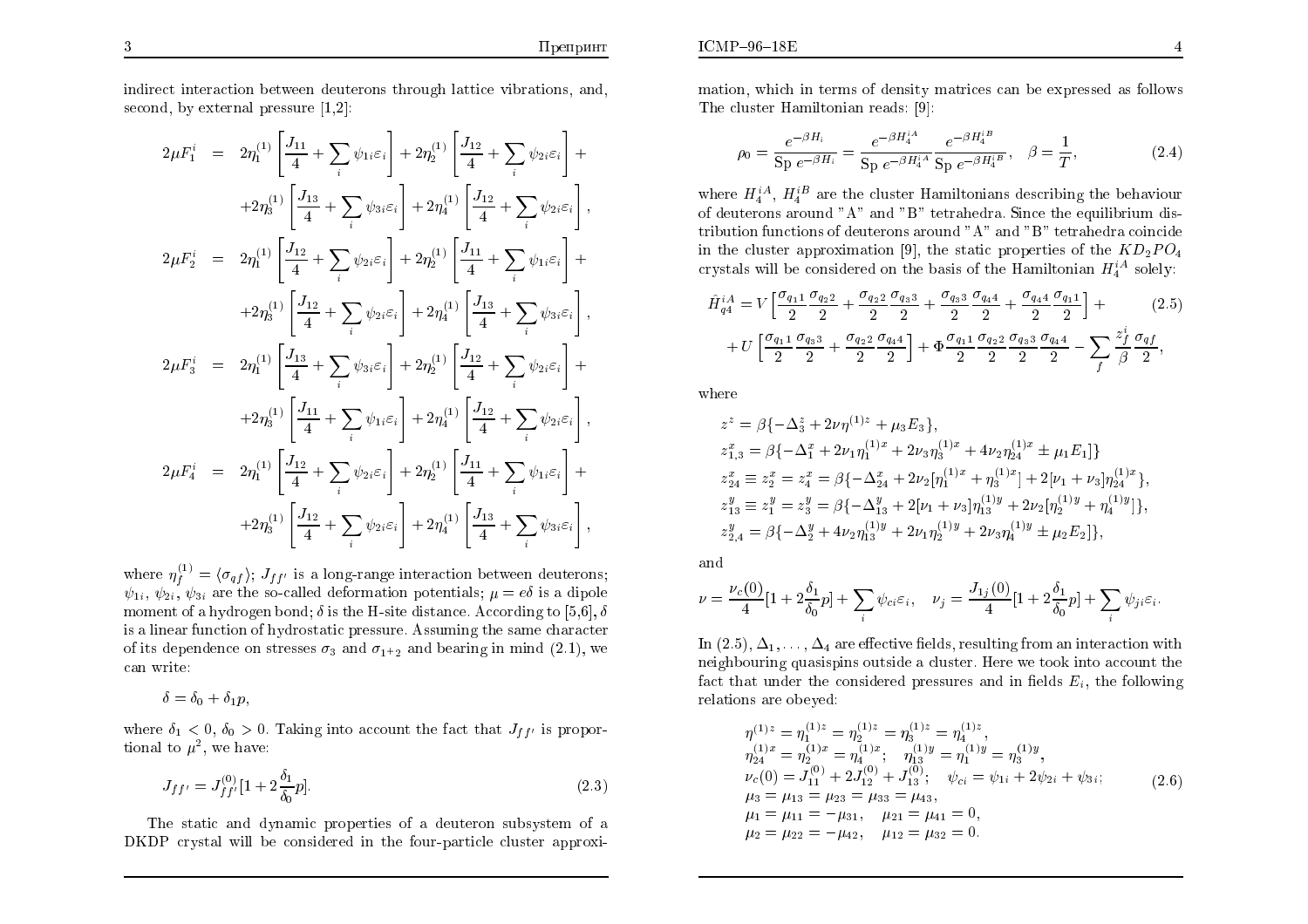indirect interaction bet ween deuterons through lattice vibrations, and, second, by external pressure  $[1,2]$ :

$$
2\mu F_{1}^{i} = 2\eta_{1}^{(1)} \left[ \frac{J_{11}}{4} + \sum_{i} \psi_{1i}\varepsilon_{i} \right] + 2\eta_{2}^{(1)} \left[ \frac{J_{12}}{4} + \sum_{i} \psi_{2i}\varepsilon_{i} \right] +
$$
  
\n
$$
+ 2\eta_{3}^{(1)} \left[ \frac{J_{13}}{4} + \sum_{i} \psi_{3i}\varepsilon_{i} \right] + 2\eta_{4}^{(1)} \left[ \frac{J_{12}}{4} + \sum_{i} \psi_{2i}\varepsilon_{i} \right],
$$
  
\n
$$
2\mu F_{2}^{i} = 2\eta_{1}^{(1)} \left[ \frac{J_{12}}{4} + \sum_{i} \psi_{2i}\varepsilon_{i} \right] + 2\eta_{2}^{(1)} \left[ \frac{J_{11}}{4} + \sum_{i} \psi_{1i}\varepsilon_{i} \right] +
$$
  
\n
$$
+ 2\eta_{3}^{(1)} \left[ \frac{J_{12}}{4} + \sum_{i} \psi_{2i}\varepsilon_{i} \right] + 2\eta_{4}^{(1)} \left[ \frac{J_{13}}{4} + \sum_{i} \psi_{3i}\varepsilon_{i} \right],
$$
  
\n
$$
2\mu F_{3}^{i} = 2\eta_{1}^{(1)} \left[ \frac{J_{13}}{4} + \sum_{i} \psi_{3i}\varepsilon_{i} \right] + 2\eta_{2}^{(1)} \left[ \frac{J_{12}}{4} + \sum_{i} \psi_{2i}\varepsilon_{i} \right] +
$$
  
\n
$$
+ 2\eta_{3}^{(1)} \left[ \frac{J_{11}}{4} + \sum_{i} \psi_{1i}\varepsilon_{i} \right] + 2\eta_{4}^{(1)} \left[ \frac{J_{12}}{4} + \sum_{i} \psi_{2i}\varepsilon_{i} \right],
$$
  
\n
$$
2\mu F_{4}^{i} = 2\eta_{1}^{(1)} \left[ \frac{J_{12}}{4} + \sum_{i} \psi_{2i}\varepsilon_{i} \right] + 2\eta_{2}^{(1)} \left[ \frac{J_{11}}{4} + \sum_{i} \
$$

where  $\eta_f^{(1)} = \langle \sigma_{qf} \rangle$ ;  $J_{ff'}$  is a long-range interaction between deuterons;  $\psi_{1i}, \psi_{2i}, \psi_{3i}$  are the so-called deformation potentials;  $\mu = e\delta$  is a dipole moment of a hydrogen bond;  $\delta$  is the H-site distance. According to [5,6],  $\delta$ is a linear function of hydrostatic pressure. Assuming the same character  $\,$ of its dependence on stresses  $\sigma_3$  and  $\sigma_{1^+2}$  and bearing in mind (2.1), we can write:

$$
\delta = \delta_0 + \delta_1 p,
$$

where  $\delta_1 < 0$ ,  $\delta_0 > 0$ . Taking into account the fact that  $J_{ff'}$  is proportional to  $\mu^2$ , we have:

$$
J_{ff'} = J_{ff'}^{(0)} [1 + 2 \frac{\delta_1}{\delta_0} p]. \tag{2.3}
$$

The static and dynamic properties of a deuteron subsystem of a<br>DP existed will be considered in the four perties cluster cannous DKDP crystal will be considered in the four-particle cluster approximation, which in terms of densit y matrices can be expressed as follows The cluster Hamiltonian reads: [9]:

$$
\rho_0 = \frac{e^{-\beta H_i}}{\text{Sp }e^{-\beta H_i}} = \frac{e^{-\beta H_4^{iA}}}{\text{Sp }e^{-\beta H_4^{iA}}} \frac{e^{-\beta H_4^{iB}}}{\text{Sp }e^{-\beta H_4^{iB}}}, \quad \beta = \frac{1}{T},\tag{2.4}
$$

where  $H_4^{iA}$ ,  $H_4^{iB}$  are the cluster Hamiltonians describing the behaviour of deuterons around "A" and "B" tetrahedra. Since the equilibrium dis-<br>tribution functions of deuterons around "A" and "D" tatushadre scincide tribution functions of deuterons around "A" and "B" tetrahedra coincide in the cluster approximation [9], the static properties of the  $KD_2PO_4$ crystals will be considered on the basis of the Hamiltonian  $H_4^{iA}$  solely:

$$
\hat{H}_{q4}^{iA} = V \left[ \frac{\sigma_{q11}}{2} \frac{\sigma_{q22}}{2} + \frac{\sigma_{q22}}{2} \frac{\sigma_{q33}}{2} + \frac{\sigma_{q33}}{2} \frac{\sigma_{q44}}{2} + \frac{\sigma_{q44}}{2} \frac{\sigma_{q11}}{2} \right] +
$$
\n
$$
+ U \left[ \frac{\sigma_{q11}}{2} \frac{\sigma_{q33}}{2} + \frac{\sigma_{q22}}{2} \frac{\sigma_{q44}}{2} \right] + \Phi \frac{\sigma_{q11}}{2} \frac{\sigma_{q22}}{2} \frac{\sigma_{q33}}{2} \frac{\sigma_{q44}}{2} - \sum_{f} \frac{z_f^i}{\beta} \frac{\sigma_{qf}}{2},
$$
\n(2.5)

where

$$
z^z = \beta \{-\Delta_3^z + 2\nu\eta^{(1)z} + \mu_3 E_3\},
$$
  
\n
$$
z_{1,3}^x = \beta \{-\Delta_1^x + 2\nu_1\eta_1^{(1)x} + 2\nu_3\eta_3^{(1)x} + 4\nu_2\eta_{24}^{(1)x} \pm \mu_1 E_1\}
$$
  
\n
$$
z_{24}^x \equiv z_2^x = z_4^x = \beta \{-\Delta_{24}^x + 2\nu_2[\eta_1^{(1)x} + \eta_3^{(1)x}] + 2[\nu_1 + \nu_3]\eta_{24}^{(1)x}\},
$$
  
\n
$$
z_{13}^y \equiv z_1^y = z_3^y = \beta \{-\Delta_{13}^y + 2[\nu_1 + \nu_3]\eta_{13}^{(1)y} + 2\nu_2[\eta_2^{(1)y} + \eta_4^{(1)y}]\},
$$
  
\n
$$
z_{2,4}^y = \beta \{-\Delta_2^y + 4\nu_2\eta_{13}^{(1)y} + 2\nu_1\eta_2^{(1)y} + 2\nu_3\eta_4^{(1)y} \pm \mu_2 E_2\},
$$

and

$$
\nu = \frac{\nu_c(0)}{4} [1 + 2 \frac{\delta_1}{\delta_0} p] + \sum_i \psi_{ci} \varepsilon_i, \quad \nu_j = \frac{J_{1j}(0)}{4} [1 + 2 \frac{\delta_1}{\delta_0} p] + \sum_i \psi_{ji} \varepsilon_i.
$$

 $\text{In } (2.5), \Delta_1, \ldots, \Delta_4$  are effective fields, resulting from an interaction with  $\ldots$  in the condition of the condition of the condition of the condition of the condition of the condition of the condition of the condit neighbouring quasispins outside a cluster. Here we took into account the fact that under the considered pressures and in fields  $E_i$ , the following relations are obeyed:

$$
\eta^{(1)z} = \eta_1^{(1)z} = \eta_2^{(1)z} = \eta_3^{(1)z} = \eta_4^{(1)z},
$$
  
\n
$$
\eta_{24}^{(1)x} = \eta_2^{(1)x} = \eta_4^{(1)x}; \quad \eta_{13}^{(1)y} = \eta_1^{(1)y} = \eta_3^{(1)y},
$$
  
\n
$$
\nu_c(0) = J_{11}^{(0)} + 2J_{12}^{(0)} + J_{13}^{(0)}; \quad \psi_{ci} = \psi_{1i} + 2\psi_{2i} + \psi_{3i};
$$
  
\n
$$
\mu_3 = \mu_{13} = \mu_{23} = \mu_{33} = \mu_{43},
$$
  
\n
$$
\mu_1 = \mu_{11} = -\mu_{31}, \quad \mu_{21} = \mu_{41} = 0,
$$
  
\n
$$
\mu_2 = \mu_{22} = -\mu_{42}, \quad \mu_{12} = \mu_{32} = 0.
$$
  
\n(2.6)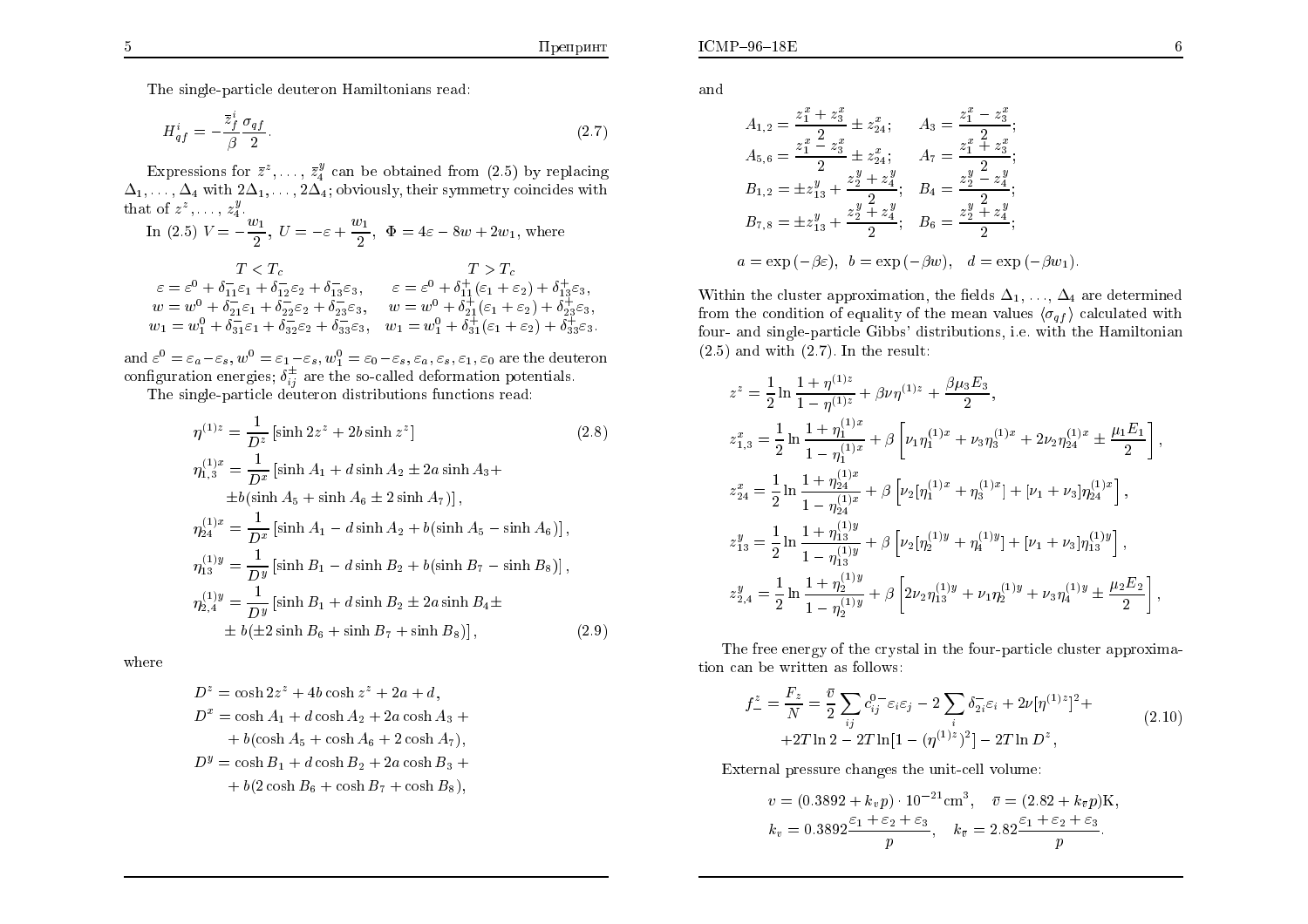The single-particle deuteron Hamiltonians read:

$$
H_{qf}^{i} = -\frac{\bar{z}_{f}^{i}}{\beta} \frac{\sigma_{qf}}{2}.
$$
\n(2.7)

Expressions for  $\bar{z}^z$ , ...,  $\bar{z}_4^y$  can be obtained from (2.5) by replacing  $\Delta_1,\ldots,\Delta_4$  with  $2\Delta_1,\ldots,2\Delta_4$ ; obviously, their symmetry coincides with that of  $z$  $z$ ,  $z$  $\frac{y}{4}$ .

In (2.5)  $V = -\frac{w_1}{2}, U$  $=-\varepsilon+\frac{w_1}{2}, \ \ \Phi$  $= 4\varepsilon - 8w + 2w_1$ , where

$$
T < T_c
$$
  
\n
$$
\varepsilon = \varepsilon^0 + \delta_{11}^{-} \varepsilon_1 + \delta_{12}^{-} \varepsilon_2 + \delta_{13}^{-} \varepsilon_3, \qquad \varepsilon = \varepsilon^0 + \delta_{11}^{+} (\varepsilon_1 + \varepsilon_2) + \delta_{13}^{+} \varepsilon_3,
$$
  
\n
$$
w = w^0 + \delta_{21}^{-} \varepsilon_1 + \delta_{22}^{-} \varepsilon_2 + \delta_{23}^{-} \varepsilon_3, \qquad w = w^0 + \delta_{21}^{+} (\varepsilon_1 + \varepsilon_2) + \delta_{23}^{+} \varepsilon_3,
$$
  
\n
$$
w_1 = w_1^0 + \delta_{31}^{-} \varepsilon_1 + \delta_{32}^{-} \varepsilon_2 + \delta_{33}^{-} \varepsilon_3, \qquad w_1 = w_1^0 + \delta_{31}^{+} (\varepsilon_1 + \varepsilon_2) + \delta_{33}^{+} \varepsilon_3.
$$

and  $\varepsilon^0 = \varepsilon_a - \varepsilon_s$ ,  $w^0 = \varepsilon_1 - \varepsilon_s$ ,  $w^0_1 = \varepsilon_0 - \varepsilon_s$ ,  $\varepsilon_a$ ,  $\varepsilon_s$ ,  $\varepsilon_1$ ,  $\varepsilon_0$  are the deuteron configuration energies;  $\delta_{ij}^{\pm}$  are the so-called deformation potentials.

The single-particle deuteron distributions functions read:

$$
\eta^{(1)z} = \frac{1}{D^z} \left[ \sinh 2z^z + 2b \sinh z^z \right]
$$
\n(2.8)  
\n
$$
\eta_{1,3}^{(1)x} = \frac{1}{D^x} \left[ \sinh A_1 + d \sinh A_2 \pm 2a \sinh A_3 + \frac{1}{2}b(\sinh A_5 + \sinh A_6 \pm 2 \sinh A_7) \right],
$$
\n
$$
\eta_{24}^{(1)x} = \frac{1}{D^x} \left[ \sinh A_1 - d \sinh A_2 + b(\sinh A_5 - \sinh A_6) \right],
$$
\n
$$
\eta_{13}^{(1)y} = \frac{1}{D^y} \left[ \sinh B_1 - d \sinh B_2 + b(\sinh B_7 - \sinh B_8) \right],
$$
\n
$$
\eta_{2,4}^{(1)y} = \frac{1}{D^y} \left[ \sinh B_1 + d \sinh B_2 \pm 2a \sinh B_4 \pm \frac{1}{2}b(\pm 2 \sinh B_6 + \sinh B_7 + \sinh B_8) \right],
$$
\n(2.9)

where

$$
D^{z} = \cosh 2z^{z} + 4b \cosh z^{z} + 2a + d,
$$
  
\n
$$
D^{x} = \cosh A_{1} + d \cosh A_{2} + 2a \cosh A_{3} +
$$
  
\n
$$
+ b(\cosh A_{5} + \cosh A_{6} + 2 \cosh A_{7}),
$$
  
\n
$$
D^{y} = \cosh B_{1} + d \cosh B_{2} + 2a \cosh B_{3} +
$$
  
\n
$$
+ b(2 \cosh B_{6} + \cosh B_{7} + \cosh B_{8}),
$$

and

$$
A_{1,2} = \frac{z_1^x + z_3^x}{2} \pm z_{24}^x; \qquad A_3 = \frac{z_1^x - z_3^x}{2};
$$
  
\n
$$
A_{5,6} = \frac{z_1^x - z_3^x}{2} \pm z_{24}^x; \qquad A_7 = \frac{z_1^x + z_3^x}{2};
$$
  
\n
$$
B_{1,2} = \pm z_{13}^y + \frac{z_2^y + z_4^y}{2}; \qquad B_4 = \frac{z_2^y - z_4^y}{2};
$$
  
\n
$$
B_{7,8} = \pm z_{13}^y + \frac{z_2^y + z_4^y}{2}; \qquad B_6 = \frac{z_2^y + z_4^y}{2};
$$
  
\n
$$
a = \exp(-\beta \varepsilon), \quad b = \exp(-\beta w), \quad d = \exp(-\beta w_1).
$$

Within the cluster approximation, the fields  $\Delta_1, \ldots, \Delta_4$  are determined from the condition of equality of the mean values  $\langle \sigma_{qf} \rangle$  calculated with<br>four and single portials  $G_i$  is distributions is with the Hamiltonian four- and single-particle Gibbs' distributions, i.e. with the Hamiltonian  $(2.5)$  and with  $(2.7)$ . In the result:

$$
z^{z} = \frac{1}{2} \ln \frac{1 + \eta^{(1)z}}{1 - \eta^{(1)z}} + \beta \nu \eta^{(1)z} + \frac{\beta \mu_{3} E_{3}}{2},
$$
  
\n
$$
z_{1,3}^{x} = \frac{1}{2} \ln \frac{1 + \eta_{1}^{(1)x}}{1 - \eta_{1}^{(1)x}} + \beta \left[ \nu_{1} \eta_{1}^{(1)x} + \nu_{3} \eta_{3}^{(1)x} + 2\nu_{2} \eta_{24}^{(1)x} \pm \frac{\mu_{1} E_{1}}{2} \right],
$$
  
\n
$$
z_{24}^{x} = \frac{1}{2} \ln \frac{1 + \eta_{24}^{(1)x}}{1 - \eta_{24}^{(1)x}} + \beta \left[ \nu_{2} [\eta_{1}^{(1)x} + \eta_{3}^{(1)x}] + [\nu_{1} + \nu_{3}] \eta_{24}^{(1)x} \right],
$$
  
\n
$$
z_{13}^{y} = \frac{1}{2} \ln \frac{1 + \eta_{13}^{(1)y}}{1 - \eta_{13}^{(1)y}} + \beta \left[ \nu_{2} [\eta_{2}^{(1)y} + \eta_{4}^{(1)y}] + [\nu_{1} + \nu_{3}] \eta_{13}^{(1)y} \right],
$$
  
\n
$$
z_{2,4}^{y} = \frac{1}{2} \ln \frac{1 + \eta_{24}^{(1)y}}{1 - \eta_{24}^{(1)y}} + \beta \left[ 2\nu_{2} \eta_{13}^{(1)y} + \nu_{1} \eta_{2}^{(1)y} + \nu_{3} \eta_{4}^{(1)y} \pm \frac{\mu_{2} E_{2}}{2} \right],
$$

The free energy of the crystal in the four-particle cluster approximation can be written as follows:

$$
f_{-}^{z} = \frac{F_{z}}{N} = \frac{\bar{v}}{2} \sum_{ij} c_{ij}^{0-} \varepsilon_{i} \varepsilon_{j} - 2 \sum_{i} \delta_{2i}^{-} \varepsilon_{i} + 2\nu [\eta^{(1)z}]^{2} +
$$
  
+2T \ln 2 - 2T \ln[1 - (\eta^{(1)z})^{2}] - 2T \ln D^{z}, \t(2.10)

External pressure changes the unit-cell volume:

$$
v = (0.3892 + k_v p) \cdot 10^{-21} \text{cm}^3
$$
,  $\bar{v} = (2.82 + k_{\bar{v}} p) \text{K}$ ,  
\n $k_v = 0.3892 \frac{\varepsilon_1 + \varepsilon_2 + \varepsilon_3}{p}$ ,  $k_{\bar{v}} = 2.82 \frac{\varepsilon_1 + \varepsilon_2 + \varepsilon_3}{p}$ .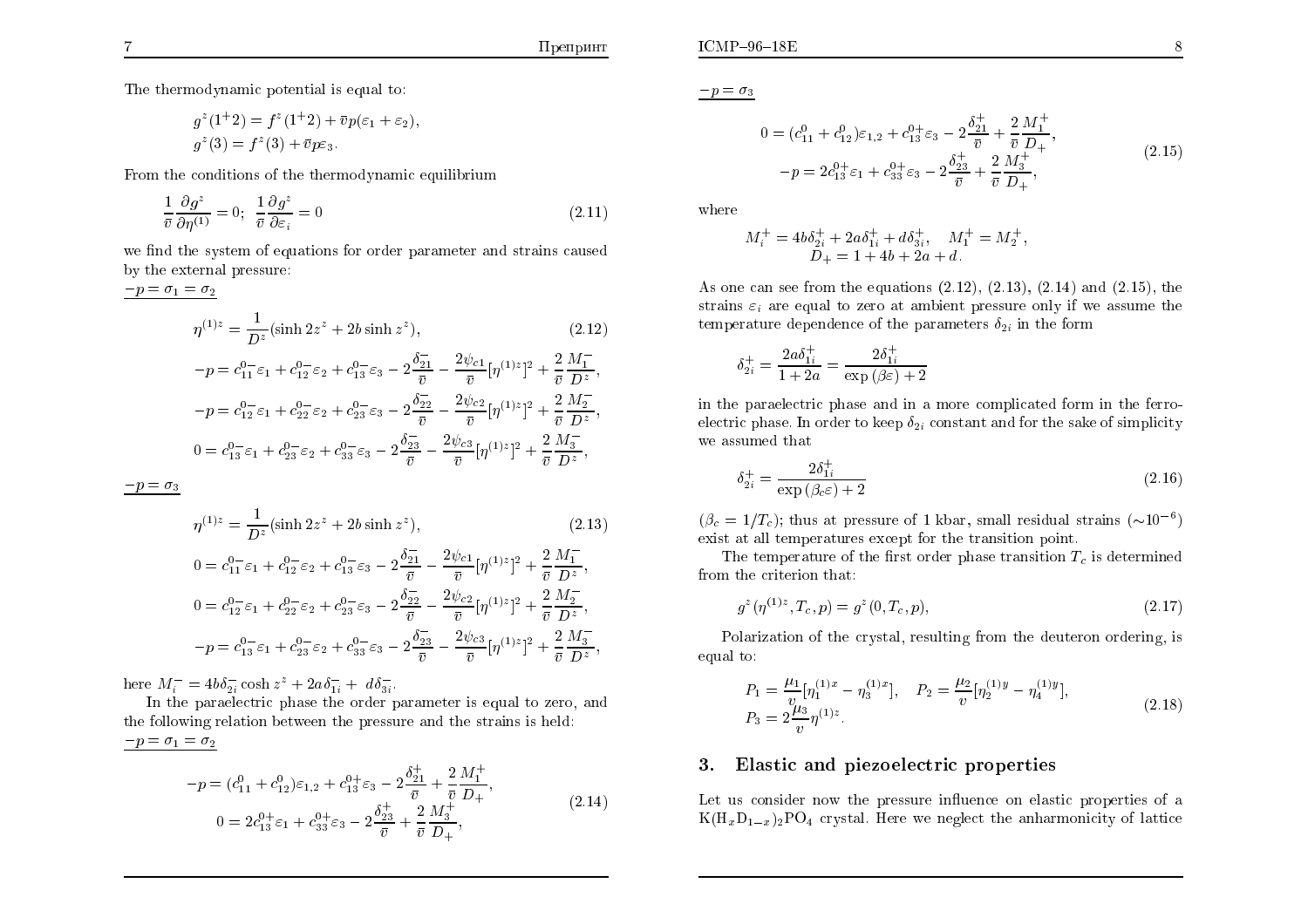;

The thermodynamic potential is equal to:

$$
g^{z}(1+2) = f^{z}(1+2) + \bar{v}p(\varepsilon_{1} + \varepsilon_{2}),
$$
  
\n
$$
g^{z}(3) = f^{z}(3) + \bar{v}p\varepsilon_{3}.
$$

From the conditions of the thermodynamic equilibrium

$$
\frac{1}{\bar{v}}\frac{\partial g^z}{\partial \eta^{(1)}} = 0; \quad \frac{1}{\bar{v}}\frac{\partial g^z}{\partial \varepsilon_i} = 0 \tag{2.11}
$$

we find the system of equations for order parameter and strains caused<br>by the systemal pressure: by the external pressure:

$$
p = \sigma_1 = \sigma_2
$$
  
\n
$$
\eta^{(1)z} = \frac{1}{D^z} (\sinh 2z^z + 2b \sinh z^z),
$$
\n
$$
-p = c_{11}^{0-z} \varepsilon_1 + c_{12}^{0-z} \varepsilon_2 + c_{13}^{0-z} \varepsilon_3 - 2 \frac{\delta_{21}^{-}}{\bar{v}} - \frac{2\psi_{c1}}{\bar{v}} [\eta^{(1)z}]^2 + \frac{2}{\bar{v}} \frac{M_1^{-}}{D^z},
$$
\n
$$
-p = c_{12}^{0-z} \varepsilon_1 + c_{22}^{0-z} \varepsilon_2 + c_{23}^{0-z} \varepsilon_3 - 2 \frac{\delta_{22}^{-}}{\bar{v}} - \frac{2\psi_{c2}}{\bar{v}} [\eta^{(1)z}]^2 + \frac{2}{\bar{v}} \frac{M_2^{-}}{D^z},
$$
\n
$$
0 = c_{13}^{0-z} \varepsilon_1 + c_{23}^{0-z} \varepsilon_2 + c_{33}^{0-z} \varepsilon_3 - 2 \frac{\delta_{23}^{-}}{\bar{v}} - \frac{2\psi_{c3}}{\bar{v}} [\eta^{(1)z}]^2 + \frac{2}{\bar{v}} \frac{M_3^{-}}{D^z},
$$

 $-p=\sigma_3$ 

$$
\eta^{(1)z} = \frac{1}{D^z} (\sinh 2z^z + 2b \sinh z^z),
$$
\n
$$
0 = c_{11}^{0-} \varepsilon_1 + c_{12}^{0-} \varepsilon_2 + c_{13}^{0-} \varepsilon_3 - 2\frac{\delta_{21}^{-}}{\bar{v}} - \frac{2\psi_{c1}}{\bar{v}} [\eta^{(1)z}]^2 + \frac{2}{\bar{v}} \frac{M_1^{-}}{D^z},
$$
\n
$$
0 = c_{12}^{0-} \varepsilon_1 + c_{22}^{0-} \varepsilon_2 + c_{23}^{0-} \varepsilon_3 - 2\frac{\delta_{22}^{-}}{\bar{v}} - \frac{2\psi_{c2}}{\bar{v}} [\eta^{(1)z}]^2 + \frac{2}{\bar{v}} \frac{M_2^{-}}{D^z},
$$
\n(2.13)

$$
\bar{v} \qquad \bar{v} \qquad \bar{v} \qquad \bar{v} \qquad \bar{v} \qquad \bar{v} \qquad \bar{v} \qquad \bar{v} \qquad \bar{v} \qquad \bar{v} \qquad \bar{v} \qquad \bar{v} \qquad \bar{v} \qquad \bar{v} \qquad \bar{v} \qquad \bar{v} \qquad \bar{v} \qquad \bar{v} \qquad \bar{v} \qquad \bar{v} \qquad \bar{v} \qquad \bar{v} \qquad \bar{v} \qquad \bar{v} \qquad \bar{v} \qquad \bar{v} \qquad \bar{v} \qquad \bar{v} \qquad \bar{v} \qquad \bar{v} \qquad \bar{v} \qquad \bar{v} \qquad \bar{v} \qquad \bar{v} \qquad \bar{v} \qquad \bar{v} \qquad \bar{v} \qquad \bar{v} \qquad \bar{v} \qquad \bar{v} \qquad \bar{v} \qquad \bar{v} \qquad \bar{v} \qquad \bar{v} \qquad \bar{v} \qquad \bar{v} \qquad \bar{v} \qquad \bar{v} \qquad \bar{v} \qquad \bar{v} \qquad \bar{v} \qquad \bar{v} \qquad \bar{v} \qquad \bar{v} \qquad \bar{v} \qquad \bar{v} \qquad \bar{v} \qquad \bar{v} \qquad \bar{v} \qquad \bar{v} \qquad \bar{v} \qquad \bar{v} \qquad \bar{v} \qquad \bar{v} \qquad \bar{v} \qquad \bar{v} \qquad \bar{v} \qquad \bar{v} \qquad \bar{v} \qquad \bar{v} \qquad \bar{v} \qquad \bar{v} \qquad \bar{v} \qquad \bar{v} \qquad \bar{v} \qquad \bar{v} \qquad \bar{v} \qquad \bar{v} \qquad \bar{v} \qquad \bar{v} \qquad \bar{v} \qquad \bar{v} \qquad \bar{v} \qquad \bar{v} \qquad \bar{v} \qquad \bar{v} \qquad \bar{v} \qquad \bar{v} \qquad \bar{v} \qquad \bar{v} \qquad \bar{v} \qquad \bar{v} \qquad \bar{v} \qquad \bar{v} \qquad \bar{v} \qquad
$$

here  $M^ \bar{i}_i^- = 4b\delta_{2i}^ \frac{1}{2i} \cosh z^z + 2a \delta_{1i}^{-1}$  $\bar{a}_{1i} + d\delta_{3i}$  $3i$  :

 In the paraelectric <sup>p</sup>hase the order parameter is equal to zero, and the following relation bet ween the pressure and the strains is held:  $-p=\sigma_1 = \sigma_2$ 

$$
-p = (c_{11}^0 + c_{12}^0)\varepsilon_{1,2} + c_{13}^{0+} \varepsilon_3 - 2\frac{\delta_{21}^+}{\bar{v}} + \frac{2}{\bar{v}}\frac{M_1^+}{D_+},
$$
  
\n
$$
0 = 2c_{13}^{0+} \varepsilon_1 + c_{33}^{0+} \varepsilon_3 - 2\frac{\delta_{23}^+}{\bar{v}} + \frac{2}{\bar{v}}\frac{M_3^+}{D_+},
$$
\n(2.14)

 $-p=\sigma_3$ 

$$
0 = (c_{11}^0 + c_{12}^0)\varepsilon_{1,2} + c_{13}^{0+} \varepsilon_3 - 2\frac{\delta_{21}^+}{\bar{v}} + \frac{2}{\bar{v}}\frac{M_1^+}{D_+},
$$
  

$$
-p = 2c_{13}^{0+} \varepsilon_1 + c_{33}^{0+} \varepsilon_3 - 2\frac{\delta_{23}^+}{\bar{v}} + \frac{2}{\bar{v}}\frac{M_3^+}{D_+},
$$
(2.15)

where

$$
M_i^+ = 4b\delta_{2i}^+ + 2a\delta_{1i}^+ + d\delta_{3i}^+, \quad M_1^+ = M_2^+, D_+ = 1 + 4b + 2a + d.
$$

As one can see from the equations  $(2.12)$ ,  $(2.13)$ ,  $(2.14)$  and  $(2.15)$ , the strains  $\varepsilon_i$  are equal to zero at ambient pressure only if we assume the temperature dependence of the parameters  $\delta_{2i}$  in the form

$$
\delta_{2i}^{+} = \frac{2a\delta_{1i}^{+}}{1+2a} = \frac{2\delta_{1i}^{+}}{\exp{(\beta \varepsilon)} + 2}
$$

in the paraelectric <sup>p</sup>hase and in a more complicated form in the ferroelectric phase. In order to keep  $\delta_{2i}$  constant and for the sake of simplicity we assumed that

$$
\delta_{2i}^{+} = \frac{2\delta_{1i}^{+}}{\exp\left(\beta_c \varepsilon\right) + 2} \tag{2.16}
$$

 $(\beta_c = 1/T_c)$ ; thus at pressure of 1 kbar, small residual strains  $(\sim 10^{-6})$ exist at all temperatures except for the transition point.

The temperature of the first order phase transition  $T_c$  is determined from the criterion that:

$$
g^{z}(\eta^{(1)z}, T_c, p) = g^{z}(0, T_c, p), \qquad (2.17)
$$

Polarization of the crystal, resulting from the deuteron ordering, is<br>al tax equal to:

$$
P_1 = \frac{\mu_1}{v} [\eta_1^{(1)x} - \eta_3^{(1)x}], \quad P_2 = \frac{\mu_2}{v} [\eta_2^{(1)y} - \eta_4^{(1)y}],
$$
  
\n
$$
P_3 = 2 \frac{\mu_3}{v} \eta^{(1)z}.
$$
\n(2.18)

# 3.Elastic and piezoelectric properties

Let us consider now the pressure influence on elastic properties of a  $K(H_xD_{1-x})_2PO_4$  crystal. Here we neglect the anharmonicity of lattice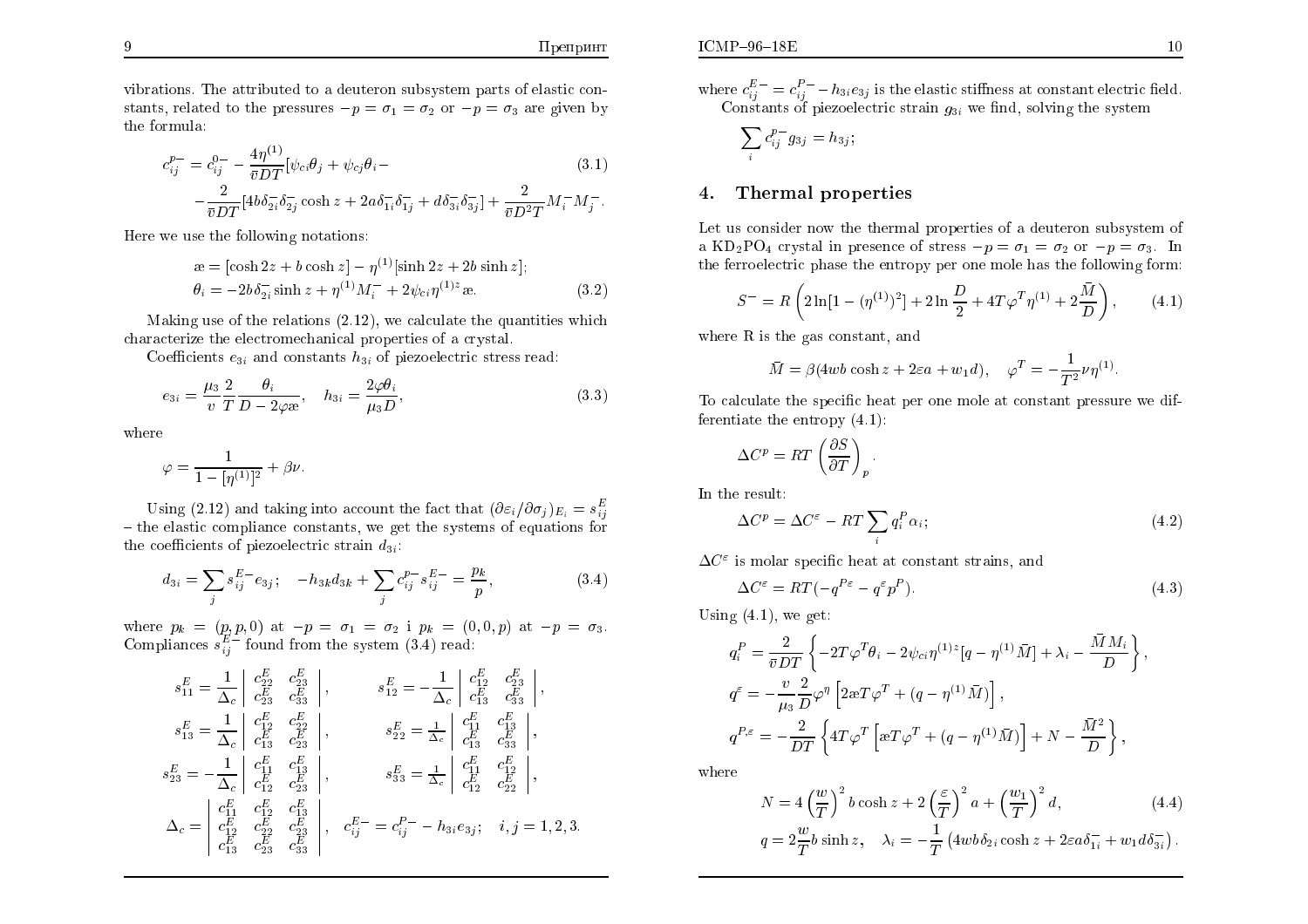vibrations. The attributed to a deuteron subsystem parts of elastic con-<br>stants, related to the pressures  $\bar{r}$ stants, related to the pressures  $-p = \sigma_1 = \sigma_2$  or  $-p = \sigma_3$  are given by the formula:

$$
c_{ij}^{p-} = c_{ij}^{0-} - \frac{4\eta^{(1)}}{\bar{v}DT} [\psi_{ci}\theta_j + \psi_{cj}\theta_i - (3.1) - \frac{2}{\bar{v}DT} [4b\delta_{2i}^-\delta_{2j}^-\cosh z + 2a\delta_{1i}^-\delta_{1j}^-\ + d\delta_{3i}^-\delta_{3j}^-\] + \frac{2}{\bar{v}D^2T}M_i^-M_j^-. \tag{3.1}
$$

Here we use the following notations:

$$
\begin{aligned} \n\mathbf{a} &= [\cosh 2z + b \cosh z] - \eta^{(1)} [\sinh 2z + 2b \sinh z]; \\ \n\theta_i &= -2b \delta_{2i}^- \sinh z + \eta^{(1)} M_i^- + 2\psi_{ci} \eta^{(1)z} \mathbf{a}. \n\end{aligned} \tag{3.2}
$$

Making use of the relations (2.12), we calculate the quantities whic hcharacterize the electromechanical properties of a crystal.

Coefficients  $e_{3i}$  and constants  $h_{3i}$  of piezoelectric stress read:

$$
e_{3i} = \frac{\mu_3}{v} \frac{2}{T} \frac{\theta_i}{D - 2\varphi \mathfrak{B}}, \quad h_{3i} = \frac{2\varphi \theta_i}{\mu_3 D}, \tag{3.3}
$$

where

$$
\varphi = \frac{1}{1 - [\eta^{(1)}]^2} + \beta \nu.
$$

Using (2.12) and taking into account the fact that  $(\partial \varepsilon_i/\partial \sigma_j)_{E_i} = s_{ij}^E$  $-$  the elastic compliance constants, we get the systems of equations for the coefficients of piezoelectric strain  $d_{3i}$ :

$$
d_{3i} = \sum_{j} s_{ij}^{E} - e_{3j}; \quad -h_{3k} d_{3k} + \sum_{j} c_{ij}^{p} s_{ij}^{E-} = \frac{p_k}{p}, \quad (3.4)
$$

where  $p_k = (p, p, 0)$  at  $-\frac{E}{k}$  $-p =$  $= \sigma_1 = \sigma_2$  i  $p_k = (0, 0, p)$  at  $-$ <br>the system  $(2, 4)$  read.  $-p =$ where  $p_k = (p, p, 0)$  at  $-p = \sigma_1 = \sigma_2$  i  $p_k = (0, 0, p)$  at  $-p = \sigma_3$ .<br>Compliances  $s_{ij}^{E-}$  found from the system (3.4) read:  $\frac{E}{ij}$  found from the system (3.4) read:

$$
s_{11}^{E} = \frac{1}{\Delta_c} \begin{vmatrix} c_{22}^{E} & c_{23}^{E} \\ c_{23}^{E} & c_{33}^{E} \\ c_{23}^{E} & c_{33}^{E} \end{vmatrix}, \qquad s_{12}^{E} = -\frac{1}{\Delta_c} \begin{vmatrix} c_{12}^{E} & c_{23}^{E} \\ c_{13}^{E} & c_{33}^{E} \\ c_{13}^{E} & c_{33}^{E} \end{vmatrix}, \ns_{13}^{E} = \frac{1}{\Delta_c} \begin{vmatrix} c_{12}^{E} & c_{22}^{E} \\ c_{13}^{E} & c_{23}^{E} \\ c_{13}^{E} & c_{23}^{E} \end{vmatrix}, \qquad s_{22}^{E} = \frac{1}{\Delta_c} \begin{vmatrix} c_{11}^{E} & c_{13}^{E} \\ c_{13}^{E} & c_{33}^{E} \\ c_{13}^{E} & c_{33}^{E} \end{vmatrix}, \ns_{23}^{E} = -\frac{1}{\Delta_c} \begin{vmatrix} c_{11}^{E} & c_{13}^{E} \\ c_{12}^{E} & c_{23}^{E} \\ c_{12}^{E} & c_{22}^{E} \end{vmatrix}, \qquad s_{33}^{E} = \frac{1}{\Delta_c} \begin{vmatrix} c_{11}^{E} & c_{12}^{E} \\ c_{12}^{E} & c_{22}^{E} \\ c_{12}^{E} & c_{22}^{E} \end{vmatrix}, \n\Delta_c = \begin{vmatrix} c_{11}^{E} & c_{12}^{E} \\ c_{12}^{E} & c_{23}^{E} \\ c_{13}^{E} & c_{23}^{E} & c_{33}^{E} \end{vmatrix}, \qquad c_{ij}^{E-} = c_{ij}^{P-} - h_{3i}e_{3j}; \quad i, j = 1, 2, 3.
$$

where  $c^{E\,-}_{ij}$  $\frac{E - E}{i j} = c_{i j}^{P - E}$ Constants of piezoelectric strain  $g_{3i}$  we find, solving the system  $_{ij}^{F-}\!-\!h_{3i}e_{3j}$  is the elastic stiffness at constant electric field.

$$
\sum_i c_{ij}^{p-} g_{3j} = h_{3j};
$$

#### 4.Thermal properties

Let us consider now the thermal properties of a deuteron subsystem of<br>Le KD PO sential in gasernes of three sense of the sense in the a  $KD_2PO_4$  crystal in presence of stress  $-p = \sigma_1 = \sigma_2$  or  $-p = \sigma_3$ . In the ferroelectric <sup>p</sup>hase the entropy per one mole has the following form:

$$
S^{-} = R \left( 2 \ln[1 - (\eta^{(1)})^2] + 2 \ln \frac{D}{2} + 4T\varphi^T \eta^{(1)} + 2\frac{\bar{M}}{D} \right), \tag{4.1}
$$

where  $R$  is the gas constant, and

$$
\bar{M} = \beta (4wb \cosh z + 2\varepsilon a + w_1 d), \quad \varphi^T = -\frac{1}{T^2} \nu \eta^{(1)}
$$

To calculate the specic heat per one mole at constant pressure we differentiate the entropy (4.1):

$$
\Delta C^p = RT \left(\frac{\partial S}{\partial T}\right)_p
$$

In the result:

$$
\Delta C^p = \Delta C^\varepsilon - RT \sum_i q_i^P \alpha_i; \tag{4.2}
$$

 $\Delta C^{\varepsilon}$  is molar specific heat at constant strains, and

$$
\Delta C^{\varepsilon} = RT(-q^{P_{\varepsilon}} - q^{\varepsilon}p^P). \tag{4.3}
$$

Using (4.1), we get:

$$
q_i^P = \frac{2}{\bar{v}DT} \left\{ -2T\varphi^T \theta_i - 2\psi_{ci} \eta^{(1)z} [q - \eta^{(1)} \bar{M}] + \lambda_i - \frac{\bar{M}M_i}{D} \right\},
$$
  
\n
$$
q^{\varepsilon} = -\frac{v}{\mu_3} \frac{2}{D} \varphi^{\eta} \left[ 2\omega T \varphi^T + (q - \eta^{(1)} \bar{M}) \right],
$$
  
\n
$$
q^{P,\varepsilon} = -\frac{2}{DT} \left\{ 4T\varphi^T \left[ \omega T \varphi^T + (q - \eta^{(1)} \bar{M}) \right] + N - \frac{\bar{M}^2}{D} \right\},
$$

where

$$
N = 4\left(\frac{w}{T}\right)^2 b \cosh z + 2\left(\frac{\varepsilon}{T}\right)^2 a + \left(\frac{w_1}{T}\right)^2 d,
$$
\n(4.4)

$$
q = 2\frac{w}{T}b\sinh z, \quad \lambda_i = -\frac{1}{T} \left( 4w b \delta_{2i} \cosh z + 2\varepsilon a \delta_{1i}^- + w_1 d \delta_{3i}^- \right).
$$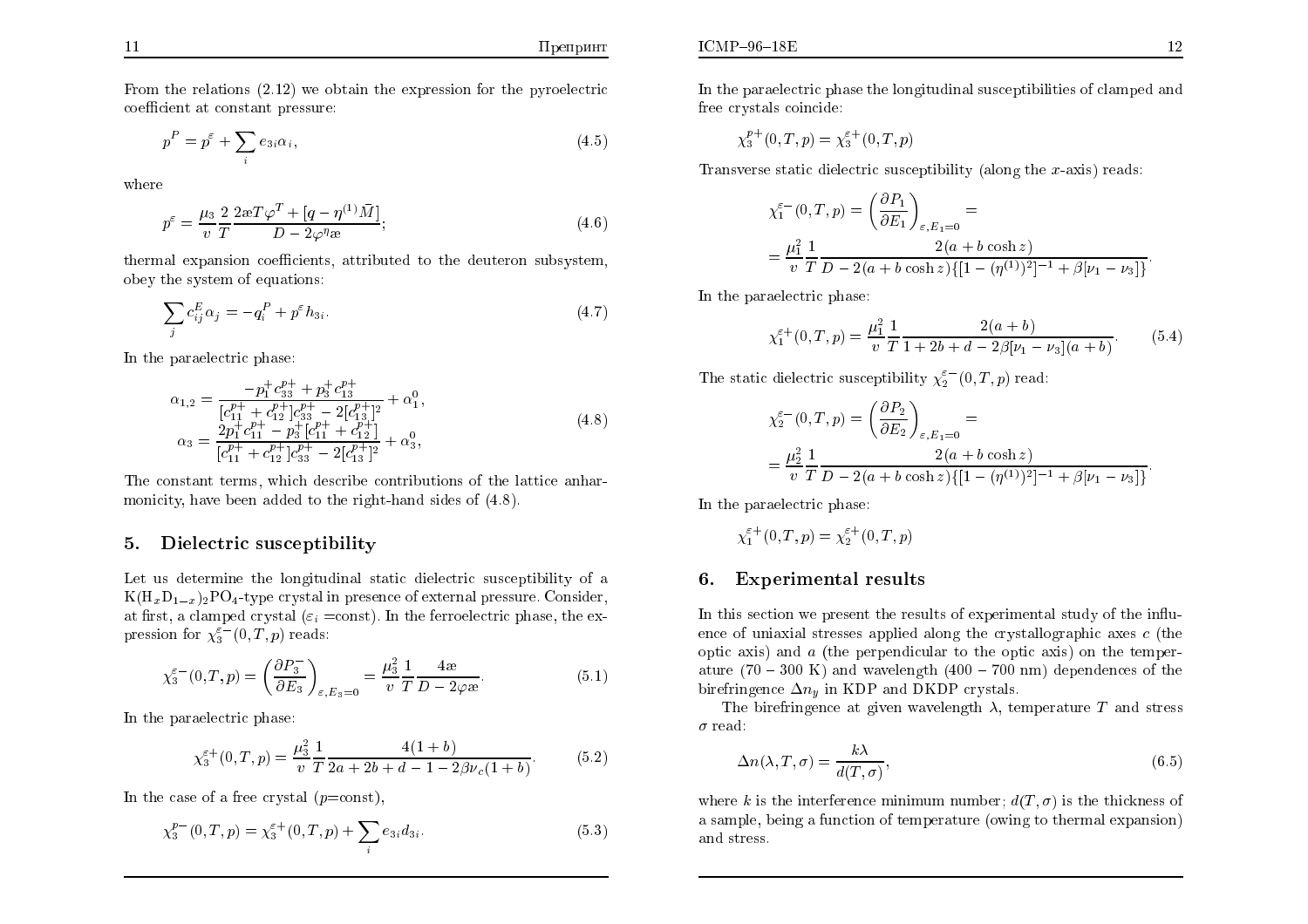From the relations  $(2.12)$  we obtain the expression for the pyroelectric<br>coefficient at constant pressure:  $coefficient$  at  $constant$  pressure:

$$
p^P = p^\varepsilon + \sum_i e_{3i} \alpha_i,\tag{4.5}
$$

where

$$
p^{\varepsilon} = \frac{\mu_3}{v} \frac{2}{T} \frac{2 \mathfrak{A} T \varphi^T + [q - \eta^{(1)} \bar{M}]}{D - 2\varphi^{\eta} \mathfrak{A}}; \tag{4.6}
$$

thermal expansion coefficients, attributed to the deuteron subsystem, obey the system of equations:

$$
\sum_{j} c_{ij}^{E} \alpha_j = -q_i^P + p^{\varepsilon} h_{3i}.
$$
\n(4.7)

In the paraelectric <sup>p</sup>hase:

$$
\alpha_{1,2} = \frac{-p_1^+ c_{33}^{p+} + p_3^+ c_{13}^{p+}}{[c_{11}^{p+} + c_{12}^{p+}]c_{33}^{p+} - 2[c_{13}^{p+}]^2} + \alpha_1^0,
$$
\n
$$
\alpha_3 = \frac{2p_1^+ c_{11}^{p+} - p_3^+ [c_{11}^{p+} + c_{12}^{p+}]}{[c_{11}^{p+} + c_{12}^{p+}]c_{33}^{p+} - 2[c_{13}^{p+}]^2} + \alpha_3^0,
$$
\n(4.8)

The constant terms, whic h describe contributions of the lattice anharmonicity, have been added to the right-hand sides of (4.8).

### 5.Dielectric susceptibilit y

Let us determine the longitudinal static dielectric susceptibility of  $\mathbf a$  $K(\mathrm{H}_x\mathrm{D}_{1-x})_2\mathrm{PO}_4$ -type crystal in presence of external pressure. Consider, at first, a clamped crystal ( $\varepsilon_i$  =const). In the ferroelectric phase, the expression for  $\chi_3^{\varepsilon -}(0,T,p)$  reads:

$$
\chi_3^{\varepsilon^-}(0,T,p) = \left(\frac{\partial P_3^-}{\partial E_3}\right)_{\varepsilon,E_3=0} = \frac{\mu_3^2}{v} \frac{1}{T} \frac{4\mathcal{E}}{D - 2\varphi \mathcal{E}}.\tag{5.1}
$$

In the paraelectric <sup>p</sup>hase:

$$
\chi_3^{\varepsilon+}(0,T,p) = \frac{\mu_3^2}{v} \frac{1}{T} \frac{4(1+b)}{2a+2b+d-1-2\beta\nu_c(1+b)}.\tag{5.2}
$$

In the case of a free crystal  $(p=const)$ ,

$$
\chi_3^{p-}(0,T,p) = \chi_3^{\varepsilon+}(0,T,p) + \sum_i e_{3i} d_{3i}.
$$
 (5.3)

In the paraelectric <sup>p</sup>hase the longitudinal susceptibilities of clamped and free crystals coincide:

$$
\chi_3^{p+}(0,T,p) = \chi_3^{\varepsilon+}(0,T,p)
$$

Transverse static dielectric susceptibilit y (along the x-axis) reads:

$$
\chi_1^{\varepsilon -}(0,T,p) = \left(\frac{\partial P_1}{\partial E_1}\right)_{\varepsilon,E_1=0} =
$$
  
=  $\frac{\mu_1^2}{v} \frac{1}{T} \frac{2(a+b \cosh z)}{D - 2(a+b \cosh z) \{[1 - (\eta^{(1)})^2]^{-1} + \beta[\nu_1 - \nu_3]\}}.$ 

In the paraelectric <sup>p</sup>hase:

$$
\chi_1^{\varepsilon+}(0,T,p) = \frac{\mu_1^2}{v} \frac{1}{T} \frac{2(a+b)}{1+2b+d-2\beta[\nu_1-\nu_3](a+b)}.\tag{5.4}
$$

The static dielectric susceptibility  $\chi_2^{\varepsilon^-}(0,T,p)$  read:

$$
\chi_2^{\varepsilon-}(0,T,p) = \left(\frac{\partial P_2}{\partial E_2}\right)_{\varepsilon, E_1=0} =
$$
  
= 
$$
\frac{\mu_2^2}{v} \frac{1}{T} \frac{2(a + b \cosh z)}{D - 2(a + b \cosh z) \{[1 - (\eta^{(1)})^2]^{-1} + \beta[\nu_1 - \nu_3]\}}
$$

In the paraelectric <sup>p</sup>hase:

$$
\chi_1^{\varepsilon+}(0,T,p) = \chi_2^{\varepsilon+}(0,T,p)
$$

#### 6.Experimental results

In this section we present the results of experimental study of the in
uence of uniaxial stresses applied along the crystallographic axes  $c$  (the optic axis) and  $\alpha$  (the perpendicular to the optic axis) on the temperature  $(70 - 300 \text{ K})$  and wavelength  $(400 - 700 \text{ nm})$  dependences of the birefringence  $\Delta n_y$  in KDP and DKDP crystals.

The birefringence at given wavelength  $\lambda$ , temperature T and stress  $\sigma$  read:

$$
\Delta n(\lambda, T, \sigma) = \frac{k\lambda}{d(T, \sigma)},
$$
\n(6.5)

where k is the interference minimum number;  $d(T, \sigma)$  is the thickness of a sample, being a function of temperature (owing to thermal expansion) and stress.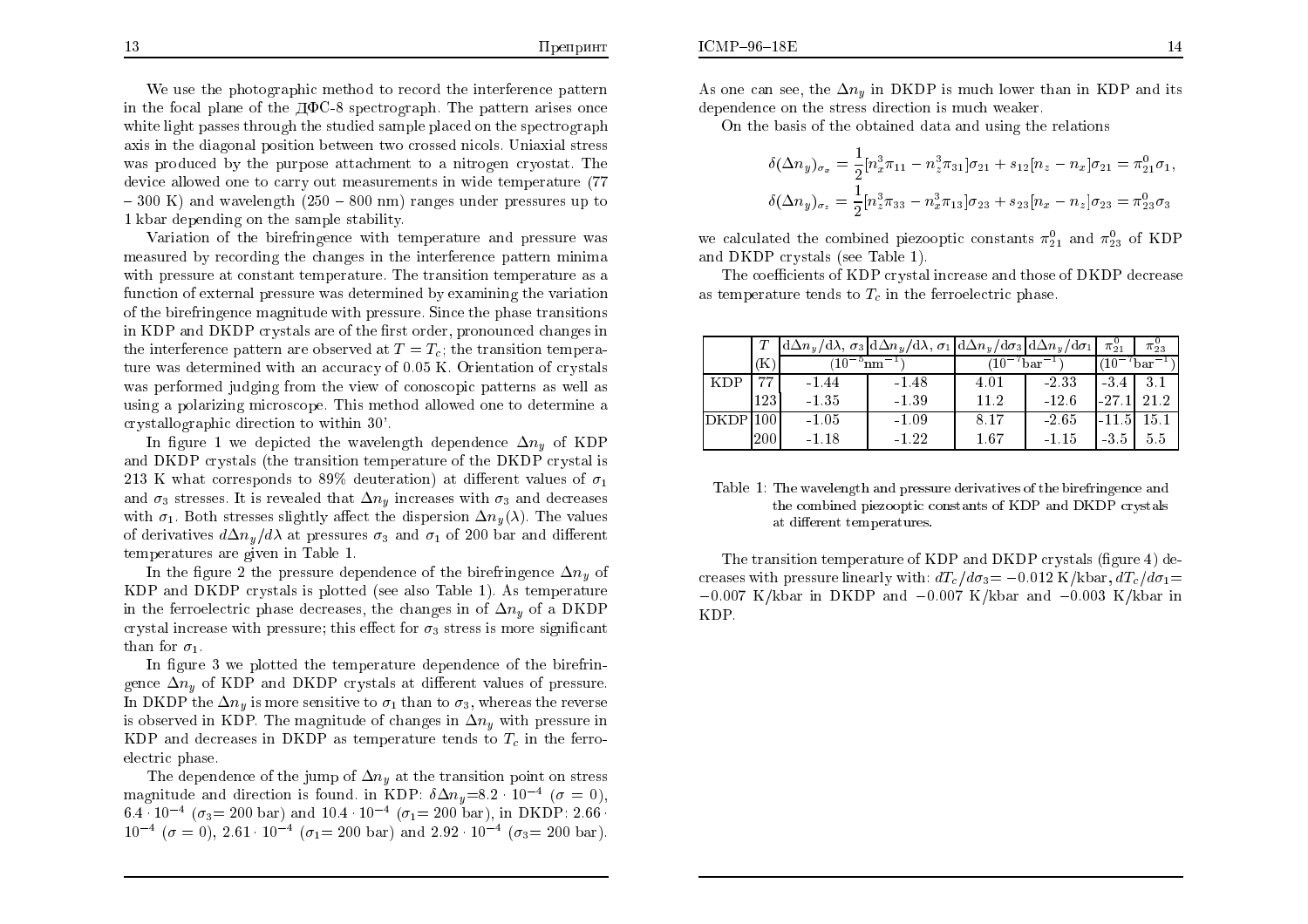We use the photographic method to record the interference pattern in the focal plane of the  $\rm \overline{A}QC-8$  spectrograph. The pattern arises once white light passes through the studied sample <sup>p</sup>laced on the spectrograph axis in the diagonal position bet ween two crossed nicols. Uniaxial stress was produced by the purpose attachment to a nitrogen cryostat. The device allowed one to carry out measurements in wide temperature (77  $-300$  K) and wavelength  $(250 - 800$  nm) ranges under pressures up to 1 kbar depending on the sample stabilit y.

Variation of the birefringence with temperature and pressure wasmeasured by recording the changes in the interference pattern minima with pressure at constant temperature. The transition temperature as afunction of external pressure was determined by examining the variation of the birefringence magnitude with pressure. Since the <sup>p</sup>hase transitions  $\inf_{\mathbf{A}}$  KDP and DKDP crystals are of the first order, pronounced changes in the interference pattern are observed at  $T=T_c$ ; the transition temperature was determined with an accuracy of  $0.05$  K. Orientation of crystals was performed judging from the view of conoscopic patterns as well as usinga polarizing microscope. This method allo wed one to determine acrystallographic direction to within 30'.

In figure 1 we depicted the wavelength dependence  $\Delta n_y$  of KDP and DKDP crystals (the transition temperature of the DKDP crystal is 213 K what corresponds to 89% deuteration) at different values of  $\sigma_1$ and  $\sigma_3$  stresses. It is revealed that  $\Delta n_y$  increases with  $\sigma_3$  and decreases with  $\sigma_1$ . Both stresses slightly affect the dispersion  $\Delta n_y(\lambda)$ . The values of derivatives  $d\Delta n_y/d\lambda$  at pressures  $\sigma_3$  and  $\sigma_1$  of 200 bar and different temperatures are <sup>g</sup>iven in Table 1.

In the figure 2 the pressure dependence of the birefringence  $\Delta n_y$  of KDP and DKDP crystals is <sup>p</sup>lotted (see also Table 1). As temperature in the ferroelectric phase decreases, the changes in of  $\Delta n_y$  of a DKDP crystal increase with pressure; this effect for  $\sigma_3$  stress is more significant than for  $\sigma_1$ .

In figure 3 we plotted the temperature dependence of the birefringence  $\Delta n_y$  of KDP and DKDP crystals at different values of pressure. In DKDP the  $\Delta n_y$  is more sensitive to  $\sigma_1$  than to  $\sigma_3$ , whereas the reverse is observed in KDP. The magnitude of changes in  $\Delta n_y$  with pressure in KDP and decreases in DKDP as temperature tends to  $T_c$  in the ferroelectric <sup>p</sup>hase.

The dependence of the jump of  $\Delta n_y$  at the transition point on stress magnitude and direction is found. in KDP:  $\delta \Delta n_y = 8.2 \cdot 10^{-4}$  ( $\sigma = 0$ ),<br> $6.4 \cdot 10^{-4}$  ( $\sigma = 0.001$ ),  $110.4 \cdot 10^{-4}$  ( $\sigma = 0.001$ ),  $\sigma$  EVDP,  $9.66$ 6.4  $\cdot$  10<sup>-4</sup> ( $\sigma_3$  = 200 bar) and 10.4  $\cdot$  10<sup>-4</sup> ( $\sigma_1$  = 200 bar), in DKDP: 2.66  $\cdot$  $10^{-4}$  ( $\sigma = 0$ ),  $2.61 \cdot 10^{-4}$  ( $\sigma_1 = 200$  bar) and  $2.92 \cdot 10^{-4}$  ( $\sigma_3 = 200$  bar).

As one can see, the  $\Delta n_y$  in DKDP is much lower than in KDP and its dependence on the stress direction is muchweaker.

On the basis of the obtained data and using the relations

$$
\delta(\Delta n_y)_{\sigma_x} = \frac{1}{2} [n_x^3 \pi_{11} - n_z^3 \pi_{31}] \sigma_{21} + s_{12} [n_z - n_x] \sigma_{21} = \pi_{21}^0 \sigma_1,
$$
  

$$
\delta(\Delta n_y)_{\sigma_z} = \frac{1}{2} [n_z^3 \pi_{33} - n_x^3 \pi_{13}] \sigma_{23} + s_{23} [n_x - n_z] \sigma_{23} = \pi_{23}^0 \sigma_3
$$

we calculated the combined piezooptic constants  $\pi_{21}^0$  and  $\pi_{23}^0$  of KDP and DKDP crystals (see Table 1).

The coefficients of KDP crystal increase and those of DKDP decrease as temperature tends to  $T_c$  in the ferroelectric phase.

|            |      | $\left\lceil \mathrm{d}\Delta n_y/\mathrm{d}\lambda\right\rceil\sigma_3\left\lceil \mathrm{d}\Delta n_y/\mathrm{d}\lambda\right\rceil\sigma_1\left\lceil \mathrm{d}\Delta n_y/\mathrm{d}\sigma_3\left\lceil \mathrm{d}\Delta n_y/\mathrm{d}\sigma_1\right\rceil\right\rceil$ |         |          |         | $\pi_{21}^{\circ}$ | $\pi_{23}$ |
|------------|------|------------------------------------------------------------------------------------------------------------------------------------------------------------------------------------------------------------------------------------------------------------------------------|---------|----------|---------|--------------------|------------|
|            | Κ    |                                                                                                                                                                                                                                                                              | nm      | har      |         | bar                |            |
| <b>KDP</b> | m.,  | $-1.44$                                                                                                                                                                                                                                                                      | $-1.48$ | 4.01     | -233    | $-3.4$             | 3.1        |
|            | 1231 | $-1.35$                                                                                                                                                                                                                                                                      | $-1.39$ | 11.2     | $-12.6$ | $-27.$             | 21.2       |
|            |      | $-1.05$                                                                                                                                                                                                                                                                      | $-1.09$ | 8.17     | $-2.65$ | -11.5              | 15.1       |
|            | 200  | -1.18                                                                                                                                                                                                                                                                        | $-1.22$ | $1.67\,$ | -1.15   | -3.5               | 5.5        |

Table 1: The wavelength and pressure derivatives of the birefringence and the combined <sup>p</sup>iezooptic constants of KDP and DKDP crystals  $at$  different  $\it temperatures.$ 

The transition temperature of KDP and DKDP crystals (figure 4) decreases with pressure linearly with:  $dT_c/d\sigma_3=-0.012$  K/kbar,  $dT_c/d\sigma_1=$  $-0.007$  K/kbar in DKDP and  $-0.007$  K/kbar and  $-0.003$  K/kbar in KDP.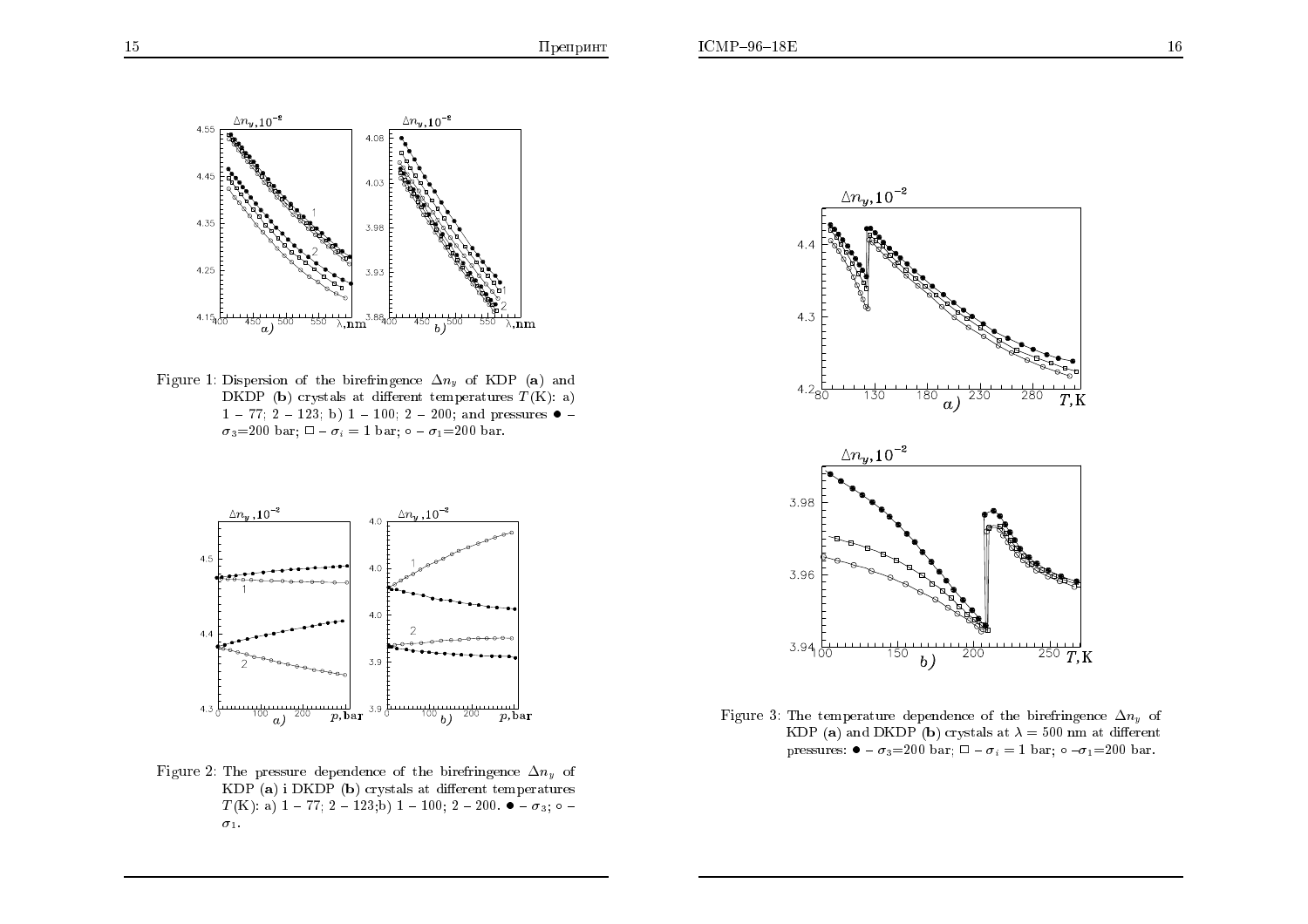15



Figure 1: Dispersion of the birefringence  $\Delta n_y$  of KDP (a) and DKDP (b) crystals at different temperatures  $T(K)$ : a)  $1 - 77$ ;  $2 - 123$ ; b)  $1 - 100$ ;  $2 - 200$ ; and pressures  $\bullet$  - $\sigma_3=200$  bar;  $\square - \sigma_i = 1$  bar;  $\circ - \sigma_1=200$  bar.



Figure 2: The pressure dependence of the birefringence  $\Delta n_y$  of KDP (a) i DKDP (b) crystals at different temperatures  $T(K)$ : a) 1 - 77; 2 - 123;b) 1 - 100; 2 - 200.  $\bullet$  -  $\sigma_3$ ; o - $\sigma_1$ .



Figure 3: The temperature dependence of the birefringence  $\Delta n_y$  of KDP (a) and DKDP (b) crystals at  $\lambda = 500$  nm at different pressures:  $\bullet$  -  $\sigma_3$ =200 bar;  $\square$  -  $\sigma_i$  = 1 bar;  $\circ$  - $\sigma_1$ =200 bar.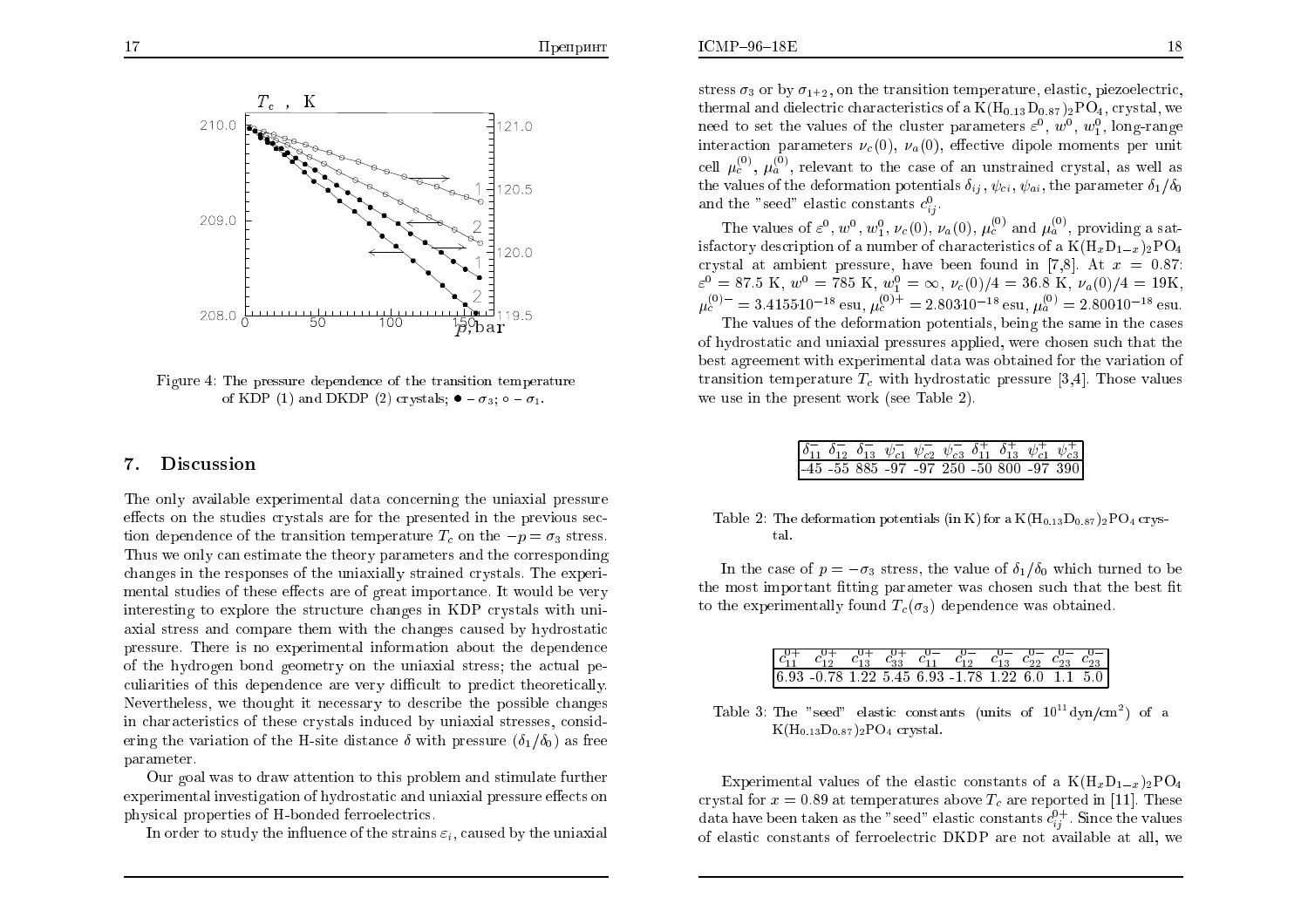

Figure 4: The pressure dependence of the transition temperature of KDP (1) and DKDP (2) crystals;  $\bullet - \sigma_3$ ;  $\circ - \sigma_1$ .

#### 7.Discussion

The only available experimental data concerning the uniaxial pressure effects on the studies crystals are for the presented in the previous  $sec$ tion dependence of the transition temperature  $T_c$  on the  $-p = \sigma_3$  stress. Thus we only can estimate the theory parameters and the corresponding changes in the responses of the uniaxially strained crystals. The experimental studies of these effects are of great importance. It would be very interesting to explore the structure changes in KDP crystals with uniaxial stress and compare them with the changes caused by hydrostatic<br>pressure. There is no symptometric information about the dependence pressure. There is no experimental information about the dependence of the hydrogen bond geometry on the uniaxial stress; the actual pe- $\,$  culiarities of this dependence are very difficult to predict theoretically. Nevertheless, we thought it necessary to describe the possible changes in characteristics of these crystals induced by uniaxial stresses, considering the variation of the H-site distance  $\delta$  with pressure  $(\delta_1/\delta_0)$  as free parameter.

Our goal was to draw attention to this problem and stimulate further<br>eximental investigation of hydrogatetic and uniquial pressure effects and experimental investigation of hydrostatic and uniaxial pressure effects on physical properties of H-bonded ferroelectrics.

In order to study the influence of the strains  $\varepsilon_i,$  caused by the uniaxial

stress  $\sigma_3$  or by  $\sigma_{1+2}$ , on the transition temperature, elastic, piezoelectric, thermal and dielectric characteristics of a  $\rm{K(H_{0.13}D_{0.87})_2PO_4},$  crystal, we need to set the values of the cluster parameters  $\varepsilon^0$ ,  $w^0$ ,  $w_1^0$ , long-range interaction parameters  $\nu_c(0)$ ,  $\nu_a(0)$ , effective dipole moments per unit cell  $\mu_c^{(0)}$ ,  $\mu_a^{(0)}$ , relevant to the case of an unstrained crystal, as well as the values of the deformation potentials  $\delta_{ij}$ ,  $\psi_{ci}$ ,  $\psi_{ai}$ , the parameter  $\delta_1/\delta_0$ and the "seed" elastic constants  $c_{ij}^0$  $j^{\ast}$ 

The values of  $\varepsilon^0$ ,  $w^0$ ,  $w_1^0$ ,  $\nu_c(0)$ ,  $\nu_a(0)$ ,  $\mu_c^{(0)}$  and  $\mu_a^{(0)}$ , providing a satisfactory description of a number of characteristics of a  $K(H_xD_{1-x})_2PO_4$ crystal at ambient pressure, have been found in [7,8]. At  $x = 0.87$ :  $\varepsilon^0 = 87.5 \text{ K}, w^0 = 785 \text{ K}, w_1^0 = \infty, \nu_c(0)/4 = 36.8 \text{ K}, \nu_a(0)/4 = 19 \text{ K},$  $\mu_c^{(0)} = 3.415510^{-18}$  esu,  $\mu_c^{(0)+} = 2.80310^{-18}$  esu,  $\mu_a^{(0)} = 2.80010^{-18}$  esu.

The values of the deformation potentials, being the same in the cases of hydrostatic and uniaxial pressures applied, were chosen such that the best agreemen<sup>t</sup> with experimental data was obtained for the variation of transition temperature  $T_c$  with hydrostatic pressure [3,4]. Those values we use in the present work (see Table 2).

|  |  |  |  | $\begin{bmatrix} \delta_{11}^- & \delta_{12}^- & \delta_{13}^- & \psi_{c1}^- & \psi_{c2}^- & \psi_{c3}^- & \delta_{11}^+ & \delta_{13}^+ & \psi_{c1}^+ & \psi_{c3}^+ \end{bmatrix}$ |
|--|--|--|--|-------------------------------------------------------------------------------------------------------------------------------------------------------------------------------------|
|  |  |  |  | $-45$ -55 885 -97 -97 250 -50 800 -97 390                                                                                                                                           |

| Table 2: The deformation potentials (in K) for a $\rm{K}(\rm{H}_{0.13} \rm{D}_{0.87})_{2} \rm{P} \rm{O}_{4}$ crys- |  |  |  |
|--------------------------------------------------------------------------------------------------------------------|--|--|--|
| tal.                                                                                                               |  |  |  |

In the case of  $p = -\sigma_3$  stress, the value of  $\delta_1/\delta_0$  which turned to be the most important fitting parameter was chosen such that the best fit to the experimentally found  $T_c(\sigma_3)$  dependence was obtained.

|  |  | $\begin{bmatrix} c_{11}^{0+} & c_{12}^{0+} & c_{13}^{0+} & c_{33}^{0+} & c_{11}^{0-} & c_{12}^{0-} & c_{13}^{0-} & c_{22}^{0-} & c_{23}^{0-} \end{bmatrix}$ |  |  |
|--|--|-------------------------------------------------------------------------------------------------------------------------------------------------------------|--|--|
|  |  | $6.93 - 0.78$ 1.22 5.45 6.93 -1.78 1.22 6.0 1.1 5.0                                                                                                         |  |  |

Table 3: The "seed" elastic constants (units of  $10^{11} \text{dyn/cm}^2$ ) of a  $\rm{K(H_{0.13}D_{0.87})_2PO_4}$  crystal.

Experimental values of the elastic constants of a  $K(\mathbf{H}_x \mathbf{D}_{1-x})_2 \mathbf{P}\mathbf{O}_4$ crystal for  $x = 0.89$  at temperatures above  $T_c$  are reported in [11]. These data have been taken as the "seed" elastic constants  $c_{ij}^{0+}$ . Since the values of elastic constants of ferroelectric DKDP are not available at all, we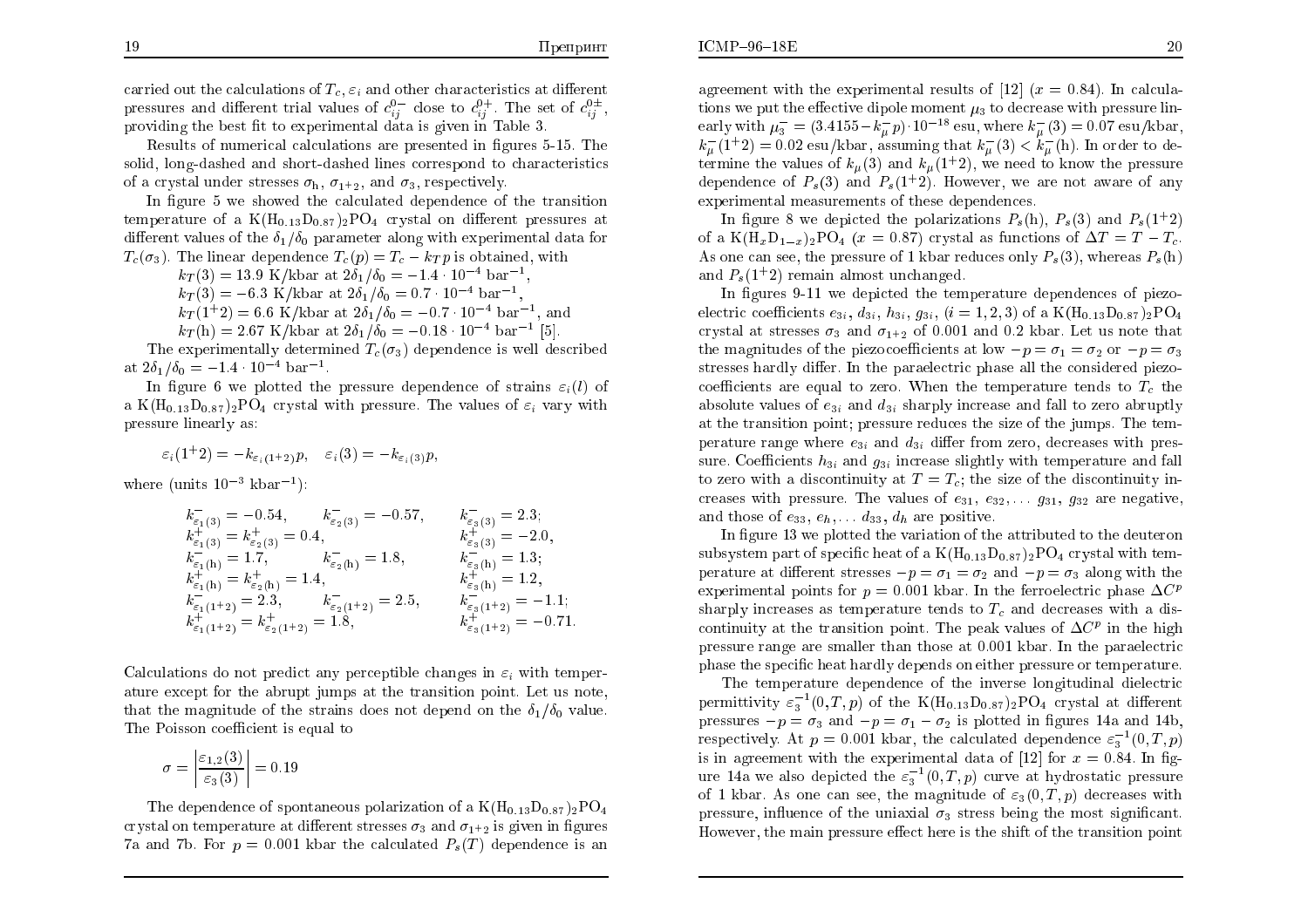$ICMP-96-18E$ 

carried out the calculations of  $T_c$ ,  $\varepsilon_i$  and other characteristics at different pressures and different trial values of  $c_{ij}^{0-}$  close to  $c_{ij}^{0+}$ . The set of  $c_{ij}^{0+}$ , providing the best fit to experimental data is given in Table 3.

Results of numerical calculations are presented in gures 5-15. The solid, long-dashed and short-dashed lines correspond to characteristics of a crystal under stresses  $\sigma_{\rm h}$ ,  $\sigma_{1^+2}$ , and  $\sigma_3$ , respectively.

In figure 5 we showed the calculated dependence of the transition temperature of a  $K(H_{0.13}D_{0.87})_2PO_4$  crystal on different pressures at different values of the  $\delta_1/\delta_0$  parameter along with experimental data for  $T_c(\sigma_3)$ . The linear dependence  $T_c(p) = T_c - k_T p$  is obtained, with

$$
k_T(3) = 13.9
$$
 K/kbar at  $2\delta_1/\delta_0 = -1.4 \cdot 10^{-4}$  bar<sup>-1</sup>,  
\n $k_T(3) = -6.3$  K/kbar at  $2\delta_1/\delta_0 = 0.7 \cdot 10^{-4}$  bar<sup>-1</sup>,  
\n $k_T(1+0) = 6.6$  K/kbar  $1.8$  K/s  $0.7$  m<sup>-1</sup> and  $k_T(1+0) = 0.7$  m<sup>-4</sup> h<sup>-1</sup>

$$
k_T(3) = -6.3
$$
 K/kbar at  $2\delta_1/\delta_0 = 0.7 \cdot 10^{-4}$  bar<sup>-1</sup>,  
\n $k_T(1^+2) = 6.6$  K/kbar at  $2\delta_1/\delta_0 = -0.7 \cdot 10^{-4}$  bar<sup>-1</sup>, and

 $k_T(h) = 2.67 \text{ K/kbar at } 2\delta_1/\delta_0 = -0.18 \cdot 10^{-4} \text{ bar}^{-1}$  [5]. The experimentally determined  $T_c(\sigma_3)$  dependence is well described at  $2\delta_1/\delta_0 = -1.4 \cdot 10^{-4} \text{ bar}^{-1}.$ 

In figure 6 we plotted the pressure dependence of strains  $\varepsilon_i(l)$  of a  $K(H_{0.13}D_{0.87})_2PO_4$  crystal with pressure. The values of  $\varepsilon_i$  vary with pressure linearly as:

$$
\varepsilon_i(1^+2)=-k_{\varepsilon_i(1^+2)}p,\quad \varepsilon_i(3)=-k_{\varepsilon_i(3)}p,
$$

where (units  $10^{-3}$  kbar<sup>-1</sup>):

$$
k_{\varepsilon_1(3)} = -0.54, \t k_{\varepsilon_2(3)} = -0.57, \t k_{\varepsilon_3(3)} = 2.3; \nk_{\varepsilon_1(3)}^+ = k_{\varepsilon_2(3)}^+ = 0.4, \t k_{\varepsilon_3(3)}^+ = -2.0, \nk_{\varepsilon_1(h)}^- = 1.7, \t k_{\varepsilon_2(h)}^- = 1.8, \t k_{\varepsilon_3(h)}^+ = 1.3; \nk_{\varepsilon_1(h)}^+ = k_{\varepsilon_2(h)}^+ = 1.4, \t k_{\varepsilon_3(h)}^- = 1.2, \nk_{\varepsilon_3(h)}^- = 1.2, \nk_{\varepsilon_3(1+2)}^- = 2.3, \t k_{\varepsilon_2(1+2)}^- = 2.5, \t k_{\varepsilon_3(1+2)}^- = -1.1; \nk_{\varepsilon_1(1+2)}^+ = k_{\varepsilon_2(1+2)}^+ = 1.8, \t k_{\varepsilon_3(1+2)}^+ = -0.71.
$$

Calculations do not predict any perceptible changes in  $\varepsilon_i$  with temper ature except for the abrupt jumps at the transition point. Let us note, that the magnitude of the strains does not depend on the  $\delta_1/\delta_0$  value. The  $\operatorname{Poisson}$  coefficient is equal to

$$
\sigma = \left| \frac{\varepsilon_{1,2}(3)}{\varepsilon_3(3)} \right| = 0.19
$$

The dependence of spontaneous polarization of a  $\rm{K(H_{0.13}D_{0.87})_2PO_4}$ crystal on temperature at different stresses  $\sigma_3$  and  $\sigma_{1+2}$  is given in figures 7a and 7b. For  $p = 0.001$  kbar the calculated  $P_s(T)$  dependence is an

agreement with the experimental results of  $[12]$   $(x = 0.84)$ . In calculations we put the effective dipole moment  $\mu_3$  to decrease with pressure linearly with  $\mu_3^- = (3.4155 - k_\mu^- p) \cdot 10^{-18}$  esu, where  $k_\mu^-(3) = 0.07$  esu/kbar,  $k_{\mu}^{-}(1+2) = 0.02 \text{ esu/kbar, assuming that } k_{\mu}^{-}(3) < k_{\mu}^{-}(h)$ . In order to determine the values of  $k_{\mu}(3)$  and  $k_{\mu}(1+2)$ , we need to know the pressure dependence of  $P_s(3)$  and  $P_s(1+2)$ . However, we are not aware of any experimental measurements of these dependences.

In figure 8 we depicted the polarizations  $P_s(h)$ ,  $P_s(3)$  and  $P_s(1+2)$ of a  $K(H_xD_{1-x})_2PO_4$  ( $x = 0.87$ ) crystal as functions of  $\Delta T = T - T_c$ . As one can see, the pressure of 1 kbar reduces only  $P_s(3)$ , whereas  $P_s(h)$ and  $P_s(1+2)$  remain almost unchanged.

In figures 9-11 we depicted the temperature dependences of piezoelectric coefficients  $e_{3i}$ ,  $d_{3i}$ ,  $h_{3i}$ ,  $g_{3i}$ ,  $(i = 1, 2, 3)$  of a K(H<sub>0.13</sub>D<sub>0.87</sub>)<sub>2</sub>PO<sub>4</sub> crystal at stresses  $\sigma_3$  and  $\sigma_{1^+2}$  of 0.001 and 0.2 kbar. Let us note that the magnitudes of the piezocoefficients at low  $-p = \sigma_1 = \sigma_2$  or  $-p = \sigma_3$ stresses hardly differ. In the paraelectric phase all the considered piezocoefficients are equal to zero. When the temperature tends to  $T_c$  the absolute values of  $e_{3i}$  and  $d_{3i}$  sharply increase and fall to zero abruptly at the transition point; pressure reduces the size of the jumps. The temperature range where  $e_{3i}$  and  $d_{3i}$  differ from zero, decreases with pres-<br>curs. Coefficients he and a sinemass cliently with temperature and fall sure. Coefficients  $h_{3i}$  and  $g_{3i}$  increase slightly with temperature and fall to zero with a discontinuity at  $T=T_c$ ; the size of the discontinuity increases with pressure. The values of  $e_{31}$ ,  $e_{32}$ ,  $\ldots$   $g_{31}$ ,  $g_{32}$  are negative, and those of  $e_{33}, e_h, \ldots, d_{33}, d_h$  are positive.

In figure  $13$  we plotted the variation of the attributed to the deuteron subsystem part of specific heat of a  $K(H_{0.13}D_{0.87})_2PO_4$  crystal with tem-<br>negative at different stresses  $\sum_{n=1}^{\infty}$  and  $\sum_{n=1}^{\infty}$  along with the perature at different stresses  $-p=\sigma_1=\sigma_2$  and  $-p=\sigma_3$  along with the experimental points for  $p = 0.001$  kbar. In the ferroelectric phase  $\Delta C^p$ <br>charges it is a discussed as terms waters to date  $T$  and descress it is a discussed sharply increases as temperature tends to  $T_c$  and decreases with a discontinuity at the transition point. The peak values of  $\Delta C^p$  in the high pressure range are smaller than those at 0.001 kbar. In the paraelectric phase the specic heat hardly depends on either pressure or temperature.

The temperature dependence of the inverse longitudinal dielectric permittivity  $\varepsilon_3^{-1}(0,T,p)$  of the K(H<sub>0.13</sub>D<sub>0.87</sub>)<sub>2</sub>PO<sub>4</sub> crystal at different pressures  $-p = \sigma_3$  and  $-p = \sigma_1 - \sigma_2$  is plotted in figures 14a and 14b, respectively. At  $p = 0.001$  kbar, the calculated dependence  $\varepsilon_3^{-1}(0,T,p)$ is in agreement with the experimental data of [12] for  $x = 0.84$ . In fig-<br>xxx, 14; so also deniated the  $z^{-1}(0,T)$  in summarity dentation processes ure 14a we also depicted the  $\varepsilon_3^{-1}(0,T,p)$  curve at hydrostatic pressure of 1 kbar. As one can see, the magnitude of  $\varepsilon_3(0,T,p)$  decreases with pressure, influence of the uniaxial  $\sigma_3$  stress being the most significant. However, the main pressure effect here is the shift of the transition point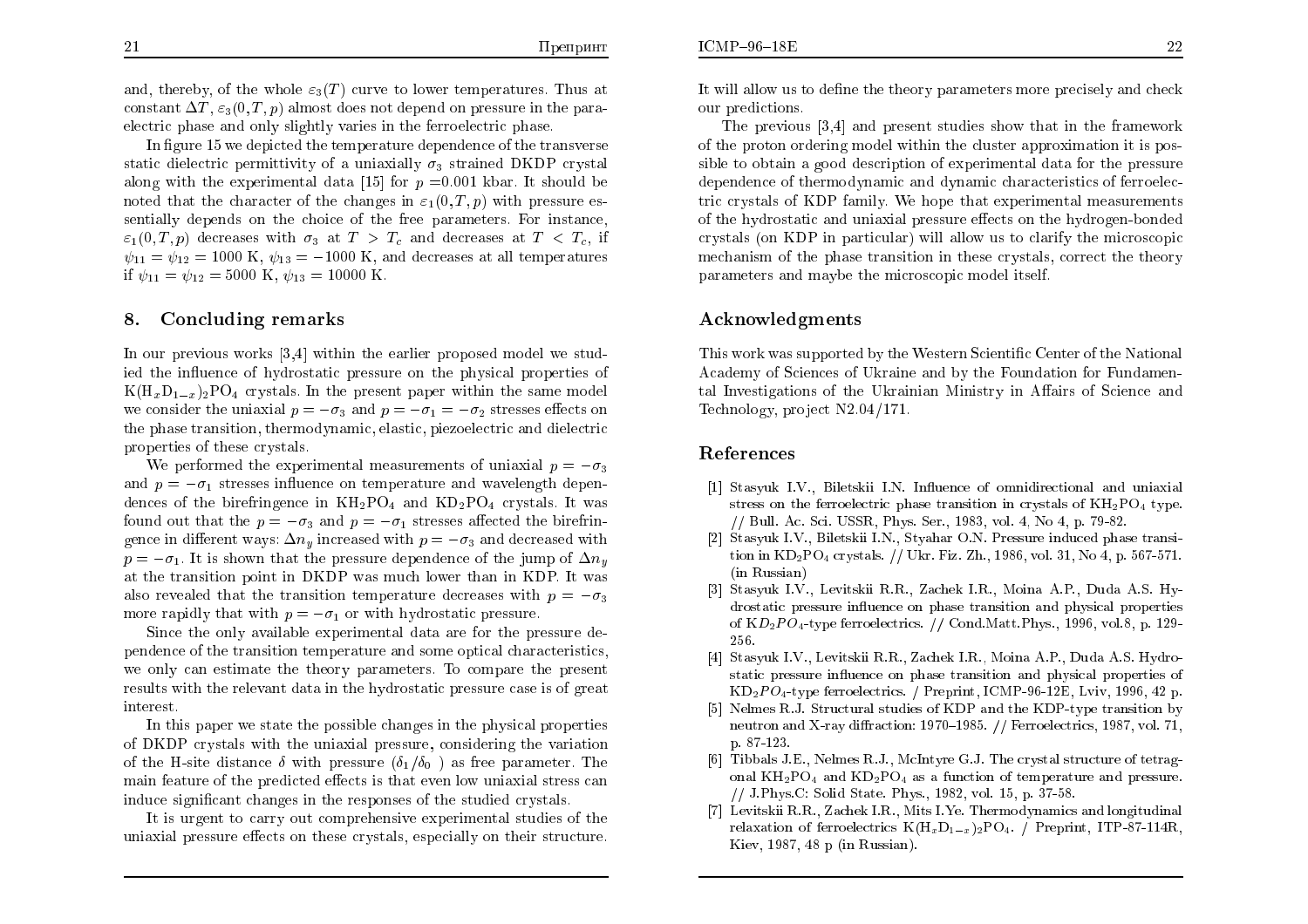and, thereby, of the whole  $\varepsilon_3(T)$  curve to lower temperatures. Thus at constant  $\Delta T$ ,  $\varepsilon_3(0, T, p)$  almost does not depend on pressure in the paraelectric <sup>p</sup>hase and only slightly varies in the ferroelectric <sup>p</sup>hase.

In figure 15 we depicted the temperature dependence of the transverse static dielectric permittivity of a uniaxially  $\sigma_3$  strained DKDP crystal along with the experimental data [15] for  $p = 0.001$  kbar. It should be noted that the character of the changes in  $\varepsilon_1(0,T,p)$  with pressure essentially depends on the choice of the free parameters. For instance,  $\varepsilon_1(0,T,p)$  decreases with  $\sigma_3$  at  $T>T_c$  and decreases at  $T < T_c$ , if  $\psi_{11} = \psi_{12} = 1000 \text{ K}, \psi_{13} = -1000 \text{ K}, \text{ and decreases at all temperatures}$ if  $\psi_{11} = \psi_{12} = 5000 \text{ K}, \psi_{13} = 10000 \text{ K}.$ 

## 8.Concluding remarks

In our previous works [3,4] within the earlier proposed model we studied the in
uence of hydrostatic pressure on the <sup>p</sup>hysical properties of  $K(H_xD_{1-x})_2PO_4$  crystals. In the present paper within the same model we consider the uniaxial  $p=-\sigma_3$  and  $p=-\sigma_1=-\sigma_2$  stresses effects on the <sup>p</sup>hase transition, thermodynamic, elastic, <sup>p</sup>iezoelectric and dielectric properties of these crystals.

We performed the experimental measurements of uniaxial  $p=-\sigma_3$ and  $p=-\sigma_1$  stresses influence on temperature and wavelength dependences of the birefringence in  $KH_2PO_4$  and  $KD_2PO_4$  crystals. It was found out that the  $p=-\sigma_3$  and  $p=-\sigma_1$  stresses affected the birefringence in different ways:  $\Delta n_y$  increased with  $p=-\sigma_3$  and decreased with  $p=-\sigma_1$ . It is shown that the pressure dependence of the jump of  $\Delta n_y$ at the transition point in DKDP was much lower than in KDP. It was also revealed that the transition temperature decreases with  $p=-\sigma_3$ more rapidly that with  $p=-\sigma_1$  or with hydrostatic pressure.

Since the only available experimental data are for the pressure de- pendence of the transition temperature and some optical characteristics, we only can estimate the theory parameters. To compare the present results with the relevant data in the hydrostatic pressure case is of grea<sup>t</sup> interest.

In this paper we state the possible changes in the <sup>p</sup>hysical properties of DKDP crystals with the uniaxial pressure, considering the variationof the H-site distance  $\delta$  with pressure  $(\delta_1/\delta_0)$  as free parameter. The main feature of the predicted effects is that even low uniaxial stress can<br>with a stress of the contract of the contract of the contract of the contract of the contract of the contract o induce signicant changes in the responses of the studied crystals.

It is urgen<sup>t</sup> to carry out comprehensive experimental studies of the uniaxial pressure effects on these crystals, especially on their structure.

It will allow us to dene the theory parameters more precisely and chec kour predictions.

The previous [3,4] and present studies sho w that in the framework of the proton ordering model within the cluster approximation it is possible to obtaina goo<sup>d</sup> description of experimental data for the pressure dependence of thermodynamic and dynamic characteristics of ferroelectric crystals of KDP family. We hope that experimental measurements of the hydrostatic and uniaxial pressure effects on the hydrogen-bonded crystals (on KDP in particular) will allo w us to clarify the microscopic mechanism of the phase transition in these crystals, correct the theory parameters and maybe the microscopic model itself.

# Acknowledgments

This work was supported by the Western Scientific Center of the National Academy of Sciences of Ukraine and by the Foundation for Fundamental Investigations of the Ukrainian Ministry in Affairs of Science and Technology, project  $\rm N2.04/171.$ 

# References

- [1] Stasyuk I.V., Biletskii I.N. In
uence of omnidirectional and uniaxial stress on the ferroelectric phase transition in crystals of  $\rm{KH_2PO_4}$  type. // Bull. Ac. Sci. USSR, Phys. Ser., 1983, vol. 4, No 4, p. 79-82.
- [2] Stasyuk I.V., Biletskii I.N., Styahar O.N. Pressure induced <sup>p</sup>hase transition in  $KD_2PO_4$  crystals. // Ukr. Fiz. Zh., 1986, vol. 31, No 4, p. 567-571. (in Russian)
- [3] Stasyuk I.V., Levitskii R.R., Zachek I.R., Moina A.P., Duda A.S. Hydrostatic pressure in
uence on <sup>p</sup>hase transition and <sup>p</sup>hysical properties of  $KD_2PO_4$ -type ferroelectrics. // Cond.Matt.Phys., 1996, vol.8, p. 129-256.
- [4] Stasyuk I.V., Levitskii R.R., Zachek I.R., Moina A.P., Duda A.S. Hydrostatic pressure in
uence on <sup>p</sup>hase transition and <sup>p</sup>hysical properties of  $KD_2PO_4$ -type ferroelectrics. / Preprint, ICMP-96-12E, Lviv, 1996, 42 p.
- [5] Nelmes R.J. Structural studies of KDP and the KDP-type transition by neutron and X-ray diffraction: 1970–1985.  $//$  Ferroelectrics, 1987, vol. 71, p. 87-123.
- [6] Tibbals J.E., Nelmes R.J., McIntyre G.J. The crystal structure of tetragonal  $\rm{KH_{2}PO_{4}}$  and  $\rm{KD_{2}PO_{4}}$  as a function of temperature and pressure. // J.Phys.C: Solid State. Phys., 1982, vol. 15, p. 37-58.
- [7] Levitskii R.R., Zachek I.R., Mits I.Ye. Thermodynamics and longitudinal relaxation of ferroelectrics  $K(H_xD_{1-x})_2PO_4$ . / Preprint, ITP-87-114R, Kiev, 1987, 48 <sup>p</sup> (in Russian).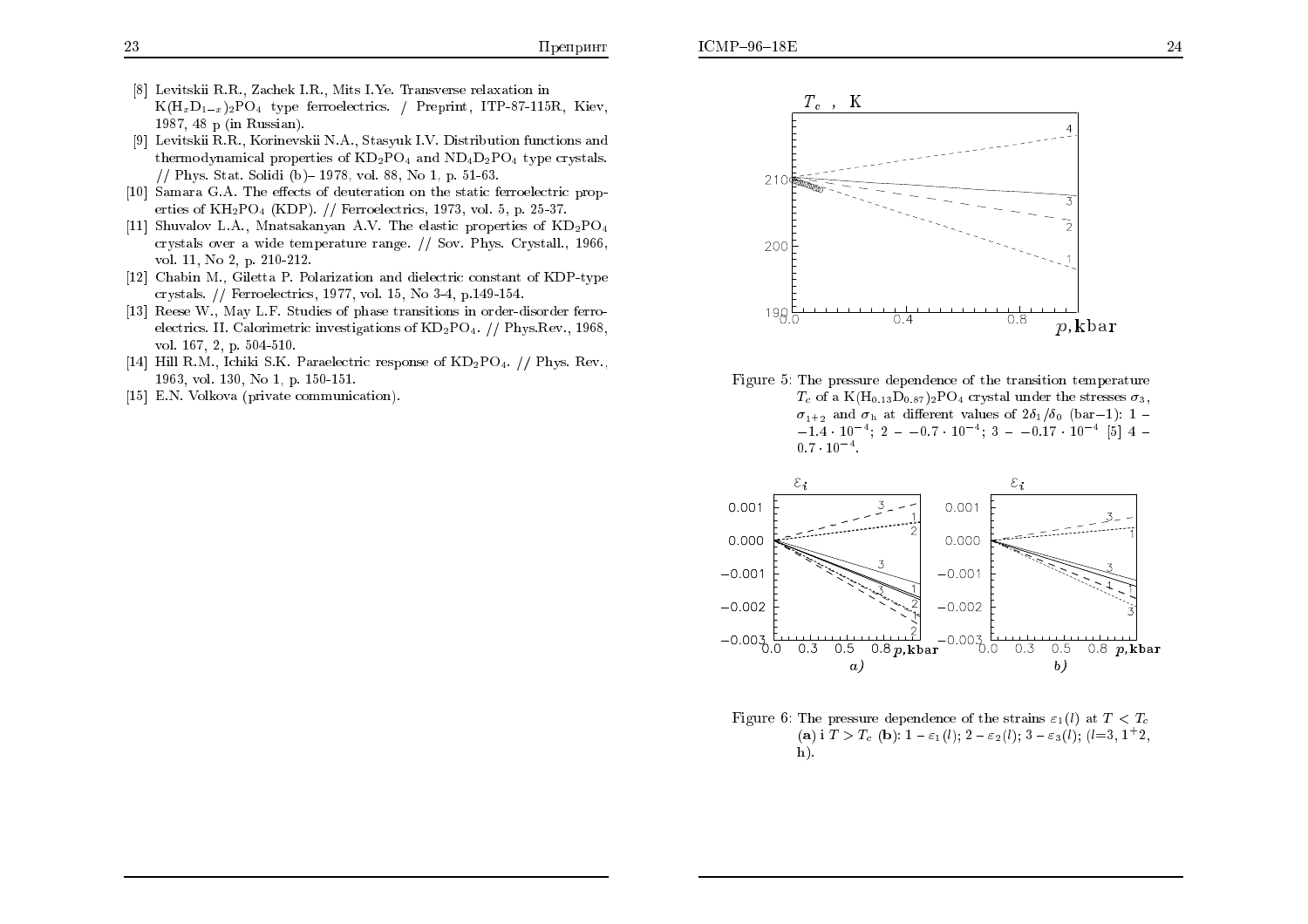- [8] Levitskii R.R., Zachek I.R., Mits I.Ye. Transverse relaxation in  $K(H_xD_{1-x})_2PO_4$  type ferroelectrics. / Preprint, ITP-87-115R, Kiev, 1987, 48 <sup>p</sup> (in Russian).
- [9] Levitskii R.R., Korinevskii N.A., Stasyuk I.V. Distribution functions and  ${\rm the rmodynamical\ properties\ of\ KD_2PO_4\ and\ ND_4D_2PO_4\ type\ crystals.}$ // Phys. Stat. Solidi (b){ 1978, vol. 88, No 1, p. 51-63.
- [10] Samara G.A. The effects of deuteration on the static ferroelectric properties of  $KH_2PO_4$  (KDP). // Ferroelectrics, 1973, vol. 5, p. 25-37.
- [11] Shuvalov L.A., Mnatsakanyan A.V. The elastic properties of  $\text{KD}_2\text{PO}_4$ crystals over <sup>a</sup> wide temperature range. // Sov. Phys. Crystall., 1966, vol. 11, No 2, p. 210-212.
- [12] Chabin M., Giletta P. Polarization and dielectric constant of KDP-type crystals. // Ferroelectrics, 1977, vol. 15, No 3-4, p.149-154.
- [13] Reese W., May L.F. Studies of <sup>p</sup>hase transitions in order-disorder ferroelectrics. II. Calorimetric investigations of KD2PO4. // Phys.Rev., 1968, vol. 167, 2, p. 504-510.
- [14] Hill R.M., Ichiki S.K. Paraelectric response of KD2PO4. // Phys. Rev., 1963, vol. 130, No 1, p. 150-151.
- [15] E.N. Volkova (private communication).



Figure 5: The pressure dependence of the transition temperature  $T_c$  of a K $(\rm{H}_{0.13}D_{0.87})_2\rm{PO}_4$  crystal under the stresses  $\sigma_3,$  $\sigma_{1+2}$  and  $\sigma_{\rm h}$  at different values of  $2\delta_1/\delta_0$  (bar-1): 1 - $-1.4 \cdot 10^{-4}$ ; 2 -  $-0.7 \cdot 10^{-4}$ ; 3 -  $-0.17 \cdot 10^{-4}$  [5] 4 - $0.7 \cdot 10^{-4}$ .



Figure 6: The pressure dependence of the strains  $\varepsilon_1(l)$  at  $T < T_c$ (a) i  $T > T_c$  (b):  $1 - \varepsilon_1(l)$ ;  $2 - \varepsilon_2(l)$ ;  $3 - \varepsilon_3(l)$ ; (l=3, 1<sup>+</sup>2, h).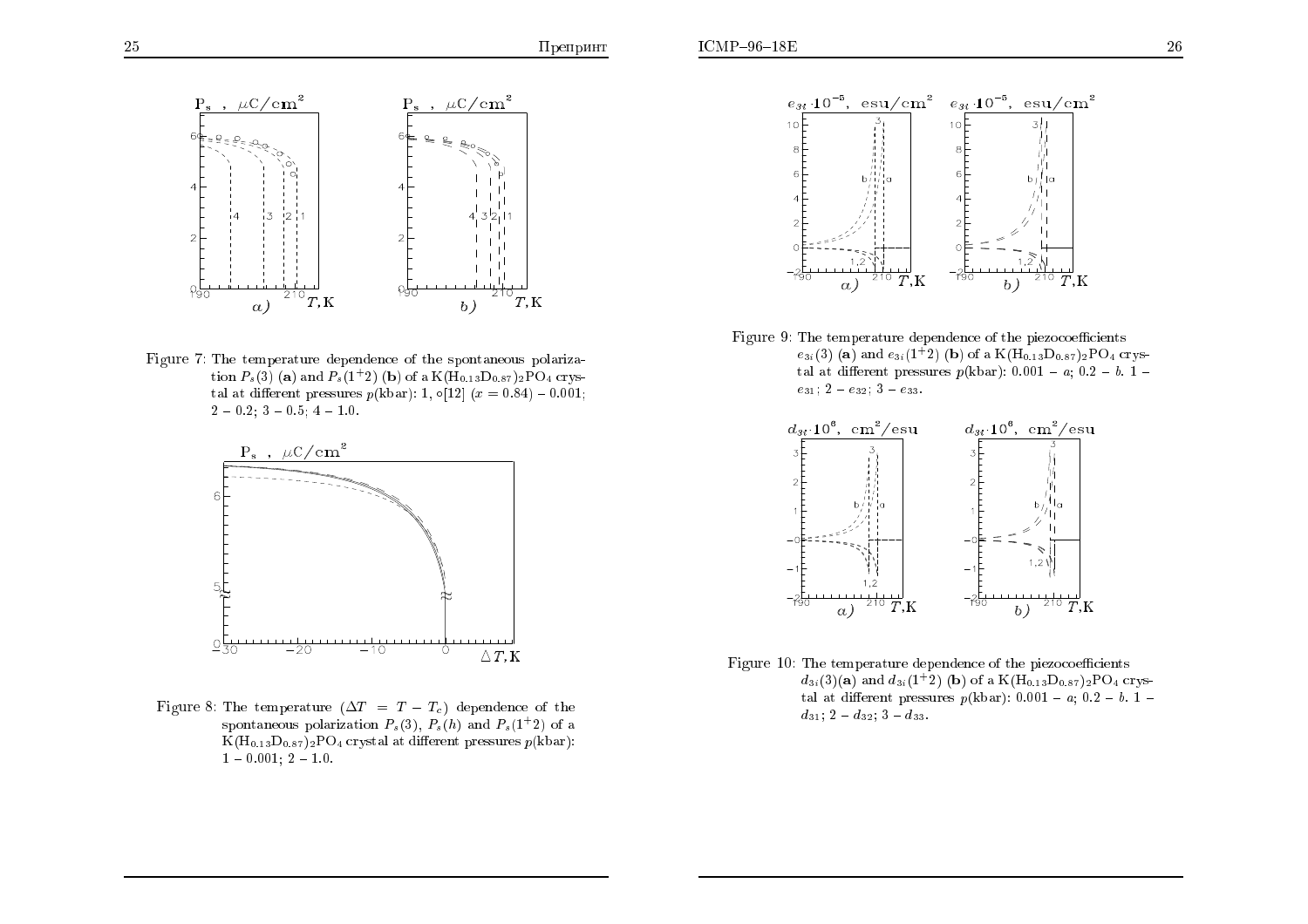

Figure 7: The temperature dependence of the spontaneous polarization  $P_s(3)$  (a) and  $P_s(1^+2)$  (b) of a K(H<sub>0.13</sub>D<sub>0.87</sub>)<sub>2</sub>PO<sub>4</sub> crystal at different pressures  $p(\text{kbar})$ : 1,  $\circ [12]$   $(x = 0.84) - 0.001;$  $2 - 0.2$ ; 3  $- 0.5$ ; 4  $- 1.0$ .



Figure 8: The temperature  $(\Delta T = T - T_c)$  dependence of the spontaneous polarization  $P_s(3)$ ,  $P_s(h)$  and  $P_s(1+2)$  of a  ${\rm K}({\rm H}_{0.13}{\rm D}_{0.87})_{2}{\rm PO}_{4}$  crystal at different pressures  $p({\rm kbar})$ :  $1 - 0.001; 2 - 1.0.$ 



 $\operatorname{Figure 9: The temperature dependence of the piezocoefficients}$  $e_{3i}(3)$  (a) and  $e_{3i}(1^+2)$  (b) of a K(H<sub>0:13</sub>D<sub>0:87</sub>)<sub>2</sub>PO<sub>4</sub> crystal at different pressures  $p(\text{kbar})$ : 0.001 - *a*; 0.2 - *b*. 1  $e_{31}$ ; 2 -  $e_{32}$ ; 3 -  $e_{33}$ .



Figure  $10$ : The temperature dependence of the piezocoefficients  $d_{3i}(3)(a)$  and  $d_{3i}(1^+2)$  (b) of a K(H<sub>0:13</sub>D<sub>0:87</sub>)<sub>2</sub>PO<sub>4</sub> crystal at different pressures  $p(\text{kbar})$ : 0.001 -  $a$ ; 0.2 -  $b$ . 1  $d_{31}$ ; 2 -  $d_{32}$ ; 3 -  $d_{33}$ .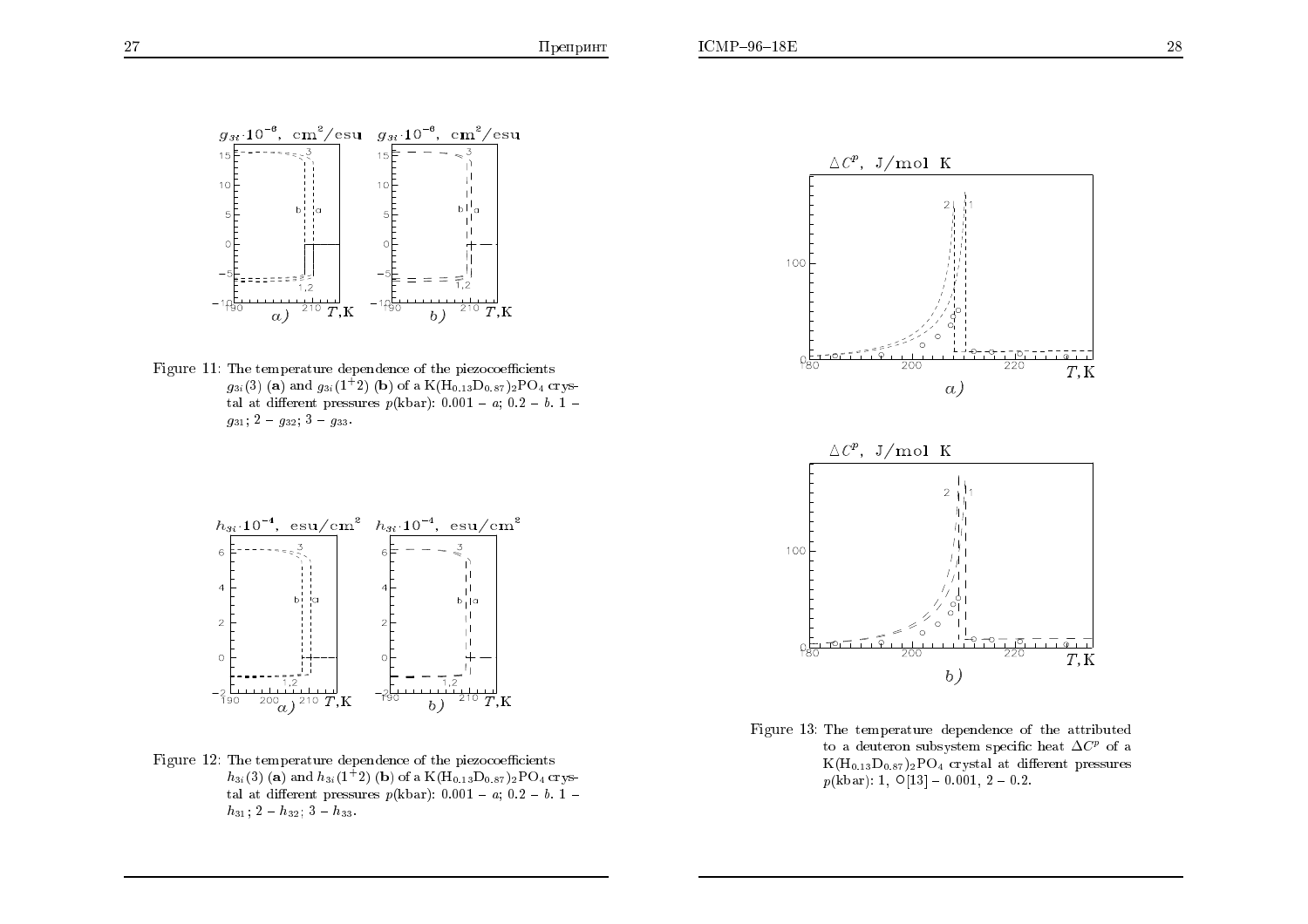

Figure  $11$ : The temperature dependence of the piezocoefficients  $g_{3i}(3)$  (a) and  $g_{3i}(1^+2)$  (b) of a K(H<sub>0.13</sub>D<sub>0.87</sub>)<sub>2</sub>PO<sub>4</sub> crystal at different pressures  $p(\text{kbar})$ : 0.001 - *a*; 0.2 - *b*. 1  $g_{31}; 2 - g_{32}; 3 - g_{33}.$ 



Figure 13: The temperature dependence of the attributedto a deuteron subsystem specific heat  $\Delta C^p$  of a<br> $V(W, D) \rightarrow \overline{D}O$  existed at different pressures  $K(\mathrm{H}_{0.13}\mathrm{D}_{0.87})_2\mathrm{PO}_4$  crystal at different pressures  $p(\mathrm{kbar})$ : 1,  $\mathrm{O}[13]$  – 0.001, 2 – 0.2.



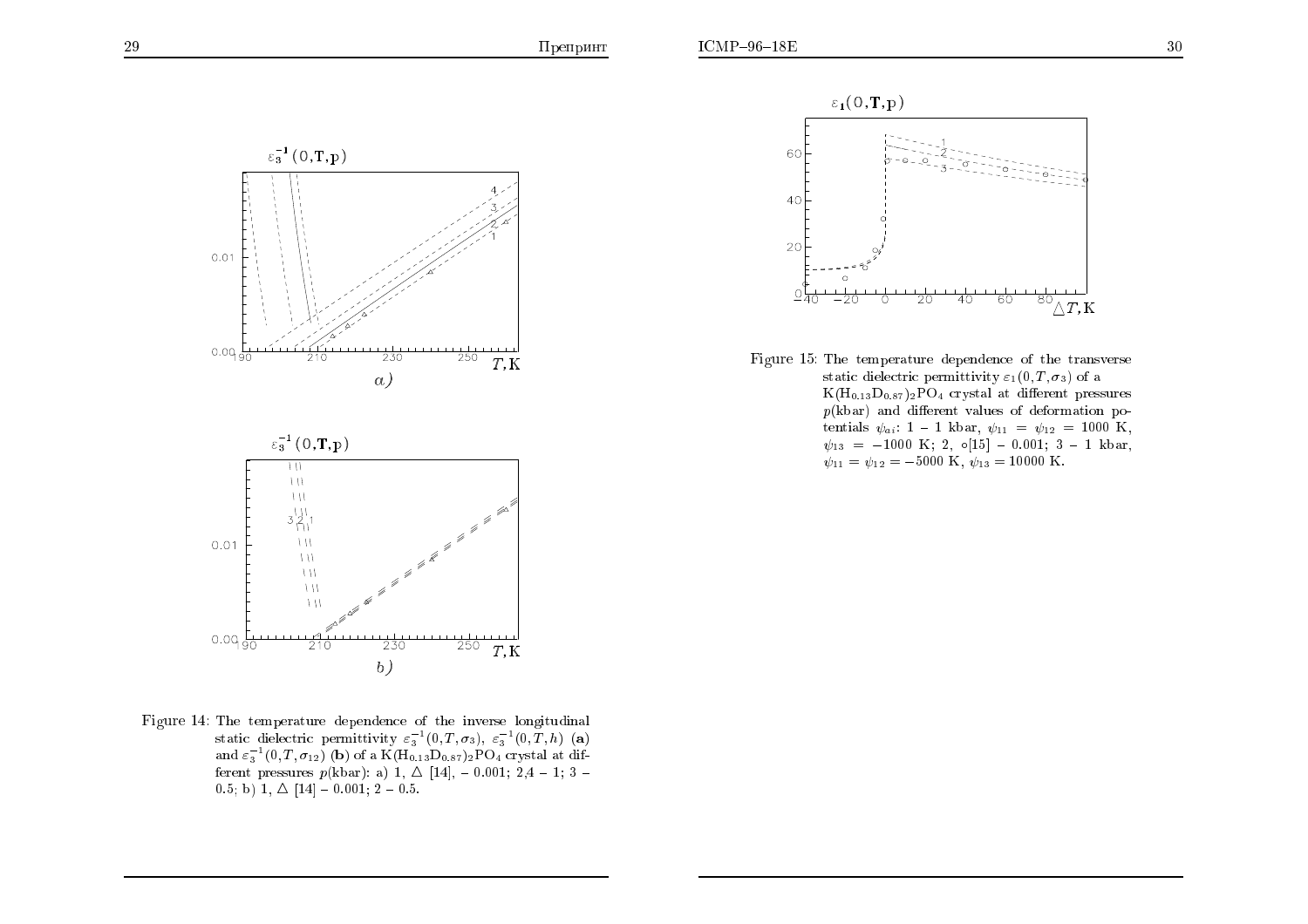



Figure 15: The temperature dependence of the transverse static dielectric permittivity  $\varepsilon_1(0,T,\sigma_3)$  of a  $K(\mathrm{H}_{0.13}\mathrm{D}_{0.87})_2\mathrm{PO}_4$  crystal at different pressures  $p(\mathrm{kbar})$  and different values of deformation potentials  $\psi_{ai}$ : 1 - 1 kbar,  $\psi_{11} = \psi_{12} = 1000$  K,  $\psi_{13} = -1000 \text{ K}; 2, \text{ o}[15] - 0.001; 3 - 1 \text{ kbar},$  $\psi_{11} = \psi_{12} = -5000 \text{ K}, \ \psi_{13} = 10000 \text{ K}.$ 

Figure 14: The temperature dependence of the inverse longitudinal static dielectric permittivity  $\varepsilon_3^{-1}(0,T,\sigma_3)$ ,  $\varepsilon_3^{-1}(0,T,h)$  (a) and  $\varepsilon_3^{-1}(0,T,\sigma_{12})$  (b) of a K(H<sub>0.13</sub>D<sub>0.87</sub>)<sub>2</sub>PO<sub>4</sub> crystal at different pressures  $p(\text{kbar})$ : a) 1,  $\Delta$  [14], - 0.001; 2,4 - 1; 3 - 0.5, b) 1,  $\Delta$  [14], - 0.001; 2, -0.5  $(0.5; b)$  1,  $\Delta$  [14] - 0.001; 2 - 0.5.

-230

 $b)$ 

 $\frac{1}{250}$   $\frac{1}{T,K}$ 

 $111$  $111$ 

 $\frac{1}{210}$ 

 $0.09\frac{L}{90}$